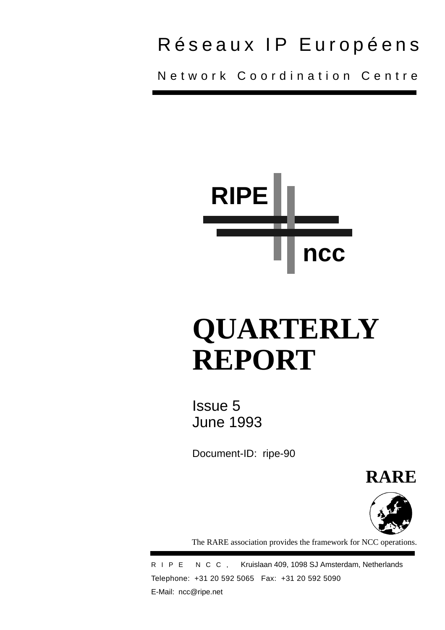### Réseaux IP Européens

Network Coordination Centre



# **QUARTERLY REPORT**

Issue 5 June 1993

Document-ID: ripe-90

**RARE**



The RARE association provides the framework for NCC operations.

RIPE NCC, Kruislaan 409, 1098 SJ Amsterdam, Netherlands Telephone: +31 20 592 5065 Fax: +31 20 592 5090 E-Mail: ncc@ripe.net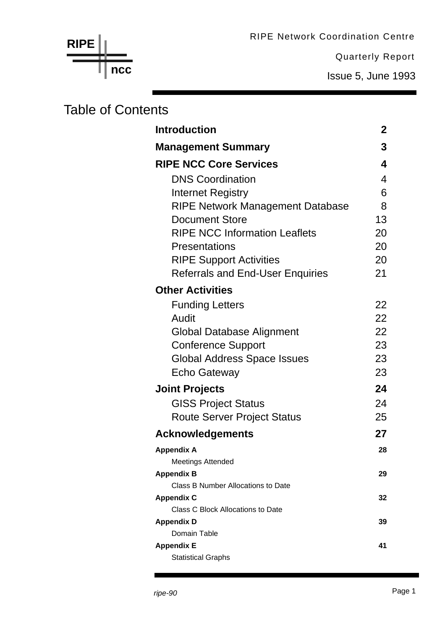Quarterly Report

Issue 5, June 1993

### Table of Contents

**ncc**

| <b>Introduction</b>                     | 2  |
|-----------------------------------------|----|
| <b>Management Summary</b>               | 3  |
| <b>RIPE NCC Core Services</b>           | 4  |
| <b>DNS Coordination</b>                 | 4  |
| <b>Internet Registry</b>                | 6  |
| <b>RIPE Network Management Database</b> | 8  |
| Document Store                          | 13 |
| <b>RIPE NCC Information Leaflets</b>    | 20 |
| <b>Presentations</b>                    | 20 |
| <b>RIPE Support Activities</b>          | 20 |
| <b>Referrals and End-User Enquiries</b> | 21 |
| <b>Other Activities</b>                 |    |
| <b>Funding Letters</b>                  | 22 |
| Audit                                   | 22 |
| Global Database Alignment               | 22 |
| <b>Conference Support</b>               | 23 |
| <b>Global Address Space Issues</b>      | 23 |
| <b>Echo Gateway</b>                     | 23 |
| <b>Joint Projects</b>                   | 24 |
| <b>GISS Project Status</b>              | 24 |
| <b>Route Server Project Status</b>      | 25 |
| <b>Acknowledgements</b>                 | 27 |
| <b>Appendix A</b>                       | 28 |
| <b>Meetings Attended</b>                |    |
| <b>Appendix B</b>                       | 29 |
| Class B Number Allocations to Date      |    |
| <b>Appendix C</b>                       | 32 |
| Class C Block Allocations to Date       |    |
| <b>Appendix D</b><br>Domain Table       | 39 |
| <b>Appendix E</b>                       | 41 |
| <b>Statistical Graphs</b>               |    |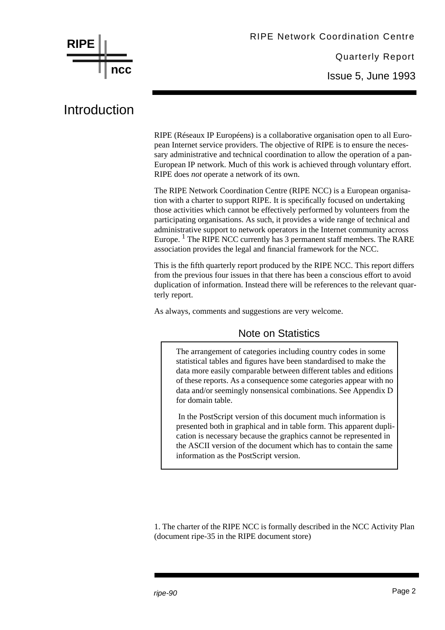

Issue 5, June 1993

### Introduction

RIPE (Réseaux IP Européens) is a collaborative organisation open to all European Internet service providers. The objective of RIPE is to ensure the necessary administrative and technical coordination to allow the operation of a pan-European IP network. Much of this work is achieved through voluntary effort. RIPE does *not* operate a network of its own.

The RIPE Network Coordination Centre (RIPE NCC) is a European organisation with a charter to support RIPE. It is specifically focused on undertaking those activities which cannot be effectively performed by volunteers from the participating organisations. As such, it provides a wide range of technical and administrative support to network operators in the Internet community across Europe.<sup>1</sup> The RIPE NCC currently has 3 permanent staff members. The RARE association provides the legal and financial framework for the NCC.

This is the fifth quarterly report produced by the RIPE NCC. This report differs from the previous four issues in that there has been a conscious effort to avoid duplication of information. Instead there will be references to the relevant quarterly report.

As always, comments and suggestions are very welcome.

#### Note on Statistics

The arrangement of categories including country codes in some statistical tables and figures have been standardised to make the data more easily comparable between different tables and editions of these reports. As a consequence some categories appear with no data and/or seemingly nonsensical combinations. See Appendix D for domain table.

 In the PostScript version of this document much information is presented both in graphical and in table form. This apparent duplication is necessary because the graphics cannot be represented in the ASCII version of the document which has to contain the same information as the PostScript version.

1. The charter of the RIPE NCC is formally described in the NCC Activity Plan (document ripe-35 in the RIPE document store)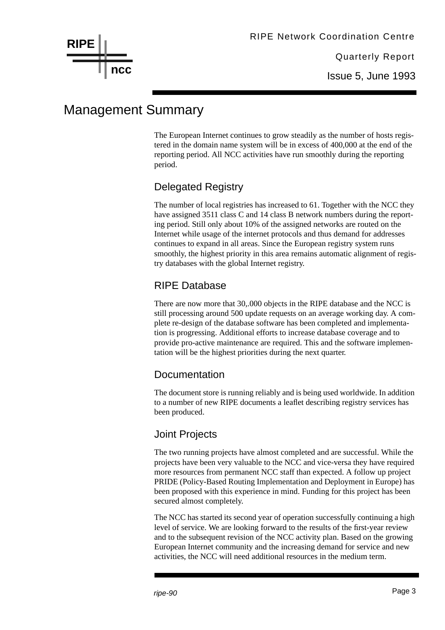

Issue 5, June 1993

### Management Summary

The European Internet continues to grow steadily as the number of hosts registered in the domain name system will be in excess of 400,000 at the end of the reporting period. All NCC activities have run smoothly during the reporting period.

#### Delegated Registry

The number of local registries has increased to 61. Together with the NCC they have assigned 3511 class C and 14 class B network numbers during the reporting period. Still only about 10% of the assigned networks are routed on the Internet while usage of the internet protocols and thus demand for addresses continues to expand in all areas. Since the European registry system runs smoothly, the highest priority in this area remains automatic alignment of registry databases with the global Internet registry.

#### RIPE Database

There are now more that 30,.000 objects in the RIPE database and the NCC is still processing around 500 update requests on an average working day. A complete re-design of the database software has been completed and implementation is progressing. Additional efforts to increase database coverage and to provide pro-active maintenance are required. This and the software implementation will be the highest priorities during the next quarter.

#### **Documentation**

The document store is running reliably and is being used worldwide. In addition to a number of new RIPE documents a leaflet describing registry services has been produced.

#### Joint Projects

The two running projects have almost completed and are successful. While the projects have been very valuable to the NCC and vice-versa they have required more resources from permanent NCC staff than expected. A follow up project PRIDE (Policy-Based Routing Implementation and Deployment in Europe) has been proposed with this experience in mind. Funding for this project has been secured almost completely.

The NCC has started its second year of operation successfully continuing a high level of service. We are looking forward to the results of the first-year review and to the subsequent revision of the NCC activity plan. Based on the growing European Internet community and the increasing demand for service and new activities, the NCC will need additional resources in the medium term.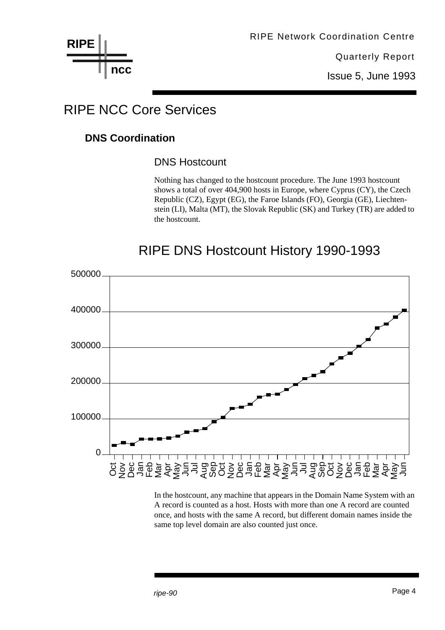**RIPE ncc**

Quarterly Report

Issue 5, June 1993

### RIPE NCC Core Services

#### **DNS Coordination**

#### DNS Hostcount

Nothing has changed to the hostcount procedure. The June 1993 hostcount shows a total of over 404,900 hosts in Europe, where Cyprus (CY), the Czech Republic (CZ), Egypt (EG), the Faroe Islands (FO), Georgia (GE), Liechtenstein (LI), Malta (MT), the Slovak Republic (SK) and Turkey (TR) are added to the hostcount.



### RIPE DNS Hostcount History 1990-1993

In the hostcount, any machine that appears in the Domain Name System with an A record is counted as a host. Hosts with more than one A record are counted once, and hosts with the same A record, but different domain names inside the same top level domain are also counted just once.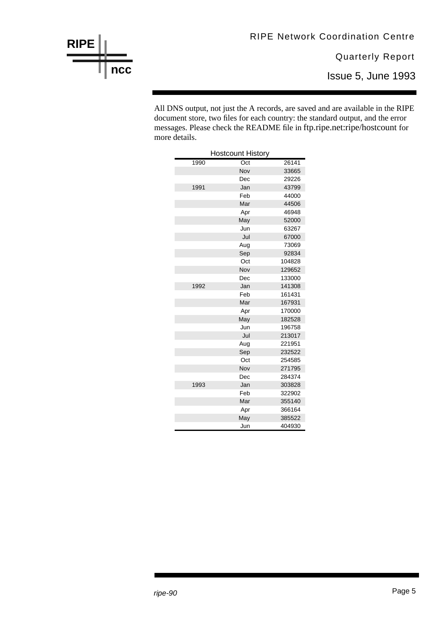Quarterly Report

Issue 5, June 1993

All DNS output, not just the A records, are saved and are available in the RIPE document store, two files for each country: the standard output, and the error messages. Please check the README file in ftp.ripe.net:ripe/hostcount for more details.

| <b>Hostcount History</b> |                  |        |  |  |  |
|--------------------------|------------------|--------|--|--|--|
| 1990                     | $\overline{Oct}$ | 26141  |  |  |  |
|                          | Nov              | 33665  |  |  |  |
|                          | Dec              | 29226  |  |  |  |
| 1991                     | Jan              | 43799  |  |  |  |
|                          | Feb              | 44000  |  |  |  |
|                          | Mar              | 44506  |  |  |  |
|                          | Apr              | 46948  |  |  |  |
|                          | May              | 52000  |  |  |  |
|                          | Jun              | 63267  |  |  |  |
|                          | Jul              | 67000  |  |  |  |
|                          | Aug              | 73069  |  |  |  |
|                          | Sep              | 92834  |  |  |  |
|                          | Oct              | 104828 |  |  |  |
|                          | Nov              | 129652 |  |  |  |
|                          | Dec              | 133000 |  |  |  |
| 1992                     | Jan              | 141308 |  |  |  |
|                          | Feb              | 161431 |  |  |  |
|                          | Mar              | 167931 |  |  |  |
|                          | Apr              | 170000 |  |  |  |
|                          | May              | 182528 |  |  |  |
|                          | Jun              | 196758 |  |  |  |
|                          | Jul              | 213017 |  |  |  |
|                          | Aug              | 221951 |  |  |  |
|                          | Sep              | 232522 |  |  |  |
|                          | Oct              | 254585 |  |  |  |
|                          | Nov              | 271795 |  |  |  |
|                          | Dec              | 284374 |  |  |  |
| 1993                     | Jan              | 303828 |  |  |  |
|                          | Feb              | 322902 |  |  |  |
|                          | Mar              | 355140 |  |  |  |
|                          | Apr              | 366164 |  |  |  |
|                          | May              | 385522 |  |  |  |
|                          | Jun              | 404930 |  |  |  |

**ncc**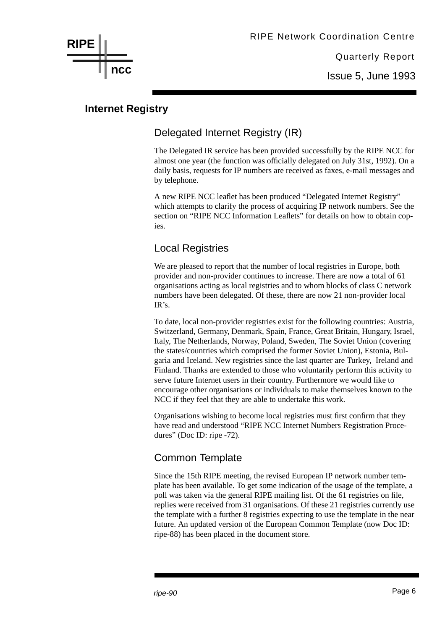Issue 5, June 1993

#### **Internet Registry**

**ncc**

**RIPE**

#### Delegated Internet Registry (IR)

The Delegated IR service has been provided successfully by the RIPE NCC for almost one year (the function was officially delegated on July 31st, 1992). On a daily basis, requests for IP numbers are received as faxes, e-mail messages and by telephone.

A new RIPE NCC leaflet has been produced "Delegated Internet Registry" which attempts to clarify the process of acquiring IP network numbers. See the section on "RIPE NCC Information Leaflets" for details on how to obtain copies.

#### Local Registries

We are pleased to report that the number of local registries in Europe, both provider and non-provider continues to increase. There are now a total of 61 organisations acting as local registries and to whom blocks of class C network numbers have been delegated. Of these, there are now 21 non-provider local IR's.

To date, local non-provider registries exist for the following countries: Austria, Switzerland, Germany, Denmark, Spain, France, Great Britain, Hungary, Israel, Italy, The Netherlands, Norway, Poland, Sweden, The Soviet Union (covering the states/countries which comprised the former Soviet Union), Estonia, Bulgaria and Iceland. New registries since the last quarter are Turkey, Ireland and Finland. Thanks are extended to those who voluntarily perform this activity to serve future Internet users in their country. Furthermore we would like to encourage other organisations or individuals to make themselves known to the NCC if they feel that they are able to undertake this work.

Organisations wishing to become local registries must first confirm that they have read and understood "RIPE NCC Internet Numbers Registration Procedures" (Doc ID: ripe -72).

#### Common Template

Since the 15th RIPE meeting, the revised European IP network number template has been available. To get some indication of the usage of the template, a poll was taken via the general RIPE mailing list. Of the 61 registries on file, replies were received from 31 organisations. Of these 21 registries currently use the template with a further 8 registries expecting to use the template in the near future. An updated version of the European Common Template (now Doc ID: ripe-88) has been placed in the document store.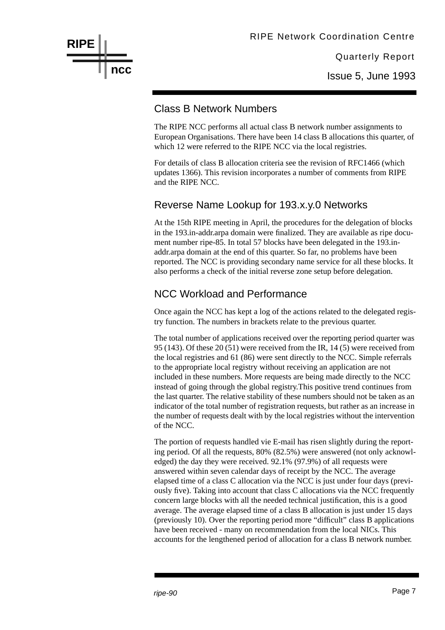**RIPE ncc**

Quarterly Report

Issue 5, June 1993

#### Class B Network Numbers

The RIPE NCC performs all actual class B network number assignments to European Organisations. There have been 14 class B allocations this quarter, of which 12 were referred to the RIPE NCC via the local registries.

For details of class B allocation criteria see the revision of RFC1466 (which updates 1366). This revision incorporates a number of comments from RIPE and the RIPE NCC.

#### Reverse Name Lookup for 193.x.y.0 Networks

At the 15th RIPE meeting in April, the procedures for the delegation of blocks in the 193.in-addr.arpa domain were finalized. They are available as ripe document number ripe-85. In total 57 blocks have been delegated in the 193.inaddr.arpa domain at the end of this quarter. So far, no problems have been reported. The NCC is providing secondary name service for all these blocks. It also performs a check of the initial reverse zone setup before delegation.

#### NCC Workload and Performance

Once again the NCC has kept a log of the actions related to the delegated registry function. The numbers in brackets relate to the previous quarter.

The total number of applications received over the reporting period quarter was 95 (143). Of these 20 (51) were received from the IR, 14 (5) were received from the local registries and 61 (86) were sent directly to the NCC. Simple referrals to the appropriate local registry without receiving an application are not included in these numbers. More requests are being made directly to the NCC instead of going through the global registry.This positive trend continues from the last quarter. The relative stability of these numbers should not be taken as an indicator of the total number of registration requests, but rather as an increase in the number of requests dealt with by the local registries without the intervention of the NCC.

The portion of requests handled vie E-mail has risen slightly during the reporting period. Of all the requests, 80% (82.5%) were answered (not only acknowledged) the day they were received. 92.1% (97.9%) of all requests were answered within seven calendar days of receipt by the NCC. The average elapsed time of a class C allocation via the NCC is just under four days (previously five). Taking into account that class C allocations via the NCC frequently concern large blocks with all the needed technical justification, this is a good average. The average elapsed time of a class B allocation is just under 15 days (previously 10). Over the reporting period more "difficult" class B applications have been received - many on recommendation from the local NICs. This accounts for the lengthened period of allocation for a class B network number.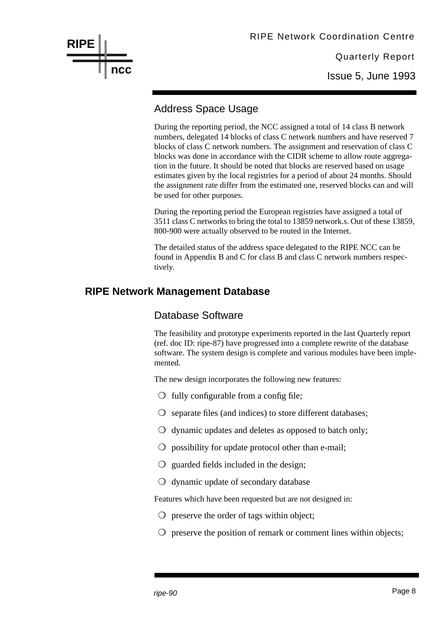

Issue 5, June 1993

#### Address Space Usage

During the reporting period, the NCC assigned a total of 14 class B network numbers, delegated 14 blocks of class C network numbers and have reserved 7 blocks of class C network numbers. The assignment and reservation of class C blocks was done in accordance with the CIDR scheme to allow route aggregation in the future. It should be noted that blocks are reserved based on usage estimates given by the local registries for a period of about 24 months. Should the assignment rate differ from the estimated one, reserved blocks can and will be used for other purposes.

During the reporting period the European registries have assigned a total of 3511 class C networks to bring the total to 13859 network.s. Out of these 13859, 800-900 were actually observed to be routed in the Internet.

The detailed status of the address space delegated to the RIPE NCC can be found in Appendix B and C for class B and class C network numbers respectively.

#### **RIPE Network Management Database**

#### Database Software

The feasibility and prototype experiments reported in the last Quarterly report (ref. doc ID: ripe-87) have progressed into a complete rewrite of the database software. The system design is complete and various modules have been implemented.

The new design incorporates the following new features:

- ❍ fully configurable from a config file;
- ❍ separate files (and indices) to store different databases;
- ❍ dynamic updates and deletes as opposed to batch only;
- ❍ possibility for update protocol other than e-mail;
- ❍ guarded fields included in the design;
- ❍ dynamic update of secondary database

Features which have been requested but are not designed in:

- $\bigcirc$  preserve the order of tags within object;
- $\bigcirc$  preserve the position of remark or comment lines within objects;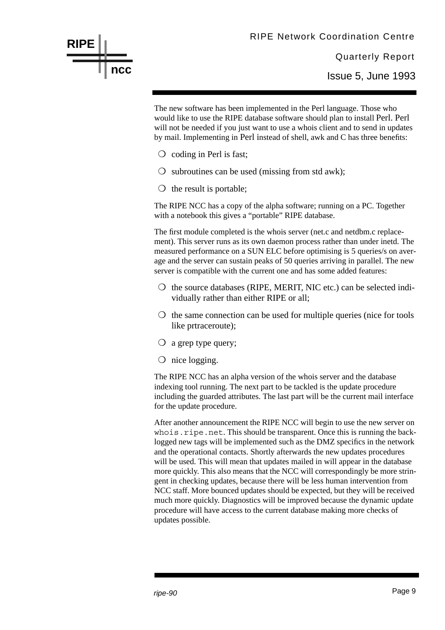Issue 5, June 1993

The new software has been implemented in the Perl language. Those who would like to use the RIPE database software should plan to install Perl. Perl will not be needed if you just want to use a whois client and to send in updates by mail. Implementing in Perl instead of shell, awk and C has three benefits:

❍ coding in Perl is fast;

**RIPE**

**ncc**

- $\bigcirc$  subroutines can be used (missing from std awk);
- $\bigcirc$  the result is portable;

The RIPE NCC has a copy of the alpha software; running on a PC. Together with a notebook this gives a "portable" RIPE database.

The first module completed is the whois server (net.c and netdbm.c replacement). This server runs as its own daemon process rather than under inetd. The measured performance on a SUN ELC before optimising is 5 queries/s on average and the server can sustain peaks of 50 queries arriving in parallel. The new server is compatible with the current one and has some added features:

- $\bigcirc$  the source databases (RIPE, MERIT, NIC etc.) can be selected individually rather than either RIPE or all;
- $\overline{O}$  the same connection can be used for multiple queries (nice for tools like prtraceroute);
- ❍ a grep type query;
- ❍ nice logging.

The RIPE NCC has an alpha version of the whois server and the database indexing tool running. The next part to be tackled is the update procedure including the guarded attributes. The last part will be the current mail interface for the update procedure.

After another announcement the RIPE NCC will begin to use the new server on whois.ripe.net. This should be transparent. Once this is running the backlogged new tags will be implemented such as the DMZ specifics in the network and the operational contacts. Shortly afterwards the new updates procedures will be used. This will mean that updates mailed in will appear in the database more quickly. This also means that the NCC will correspondingly be more stringent in checking updates, because there will be less human intervention from NCC staff. More bounced updates should be expected, but they will be received much more quickly. Diagnostics will be improved because the dynamic update procedure will have access to the current database making more checks of updates possible.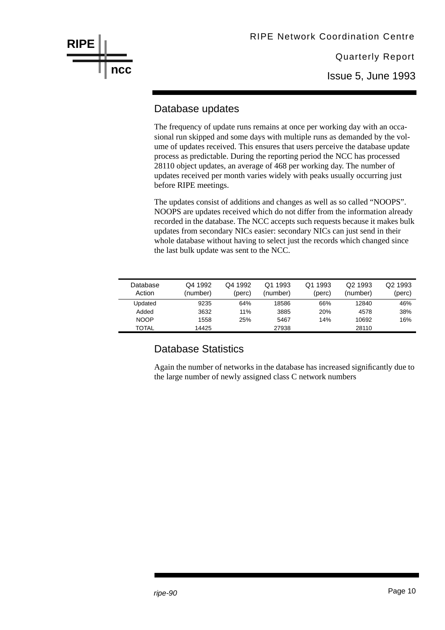

Issue 5, June 1993

#### Database updates

The frequency of update runs remains at once per working day with an occasional run skipped and some days with multiple runs as demanded by the volume of updates received. This ensures that users perceive the database update process as predictable. During the reporting period the NCC has processed 28110 object updates, an average of 468 per working day. The number of updates received per month varies widely with peaks usually occurring just before RIPE meetings.

The updates consist of additions and changes as well as so called "NOOPS". NOOPS are updates received which do not differ from the information already recorded in the database. The NCC accepts such requests because it makes bulk updates from secondary NICs easier: secondary NICs can just send in their whole database without having to select just the records which changed since the last bulk update was sent to the NCC.

| Database<br>Action | Q4 1992<br>(number) | Q4 1992<br>(perc) | Q1 1993<br>(number) | Q1 1993<br>(perc) | Q <sub>2</sub> 1993<br>(number) | Q2 1993<br>(perc) |
|--------------------|---------------------|-------------------|---------------------|-------------------|---------------------------------|-------------------|
| Updated            | 9235                | 64%               | 18586               | 66%               | 12840                           | 46%               |
| Added              | 3632                | 11%               | 3885                | 20%               | 4578                            | 38%               |
| <b>NOOP</b>        | 1558                | 25%               | 5467                | 14%               | 10692                           | 16%               |
| TOTAL              | 14425               |                   | 27938               |                   | 28110                           |                   |

#### Database Statistics

Again the number of networks in the database has increased significantly due to the large number of newly assigned class C network numbers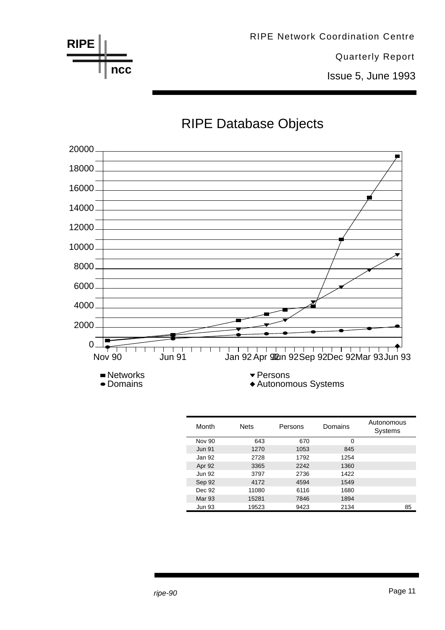

Quarterly Report RIPE Network Coordination Centre Issue 5, June 1993

RIPE Database Objects



| <b>Systems</b>                         |    |
|----------------------------------------|----|
| <b>Nov 90</b><br>643<br>0<br>670       |    |
| 1270<br><b>Jun 91</b><br>1053<br>845   |    |
| 2728<br>1792<br>1254<br>Jan 92         |    |
| Apr 92<br>3365<br>2242<br>1360         |    |
| <b>Jun 92</b><br>3797<br>2736<br>1422  |    |
| Sep 92<br>4172<br>4594<br>1549         |    |
| Dec 92<br>11080<br>6116<br>1680        |    |
| <b>Mar 93</b><br>15281<br>7846<br>1894 |    |
| 19523<br>9423<br>2134<br><b>Jun 93</b> | 85 |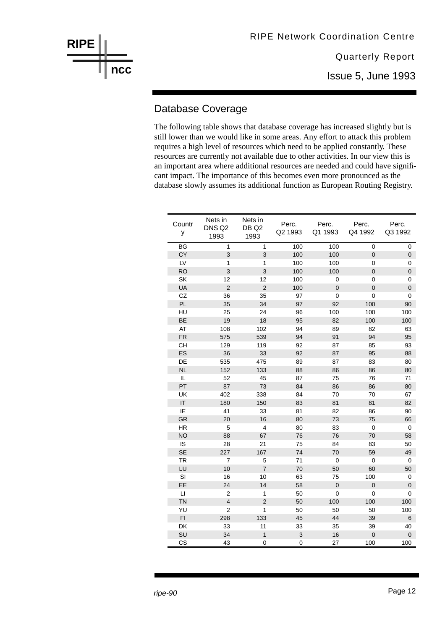

Issue 5, June 1993

#### Database Coverage

The following table shows that database coverage has increased slightly but is still lower than we would like in some areas. Any effort to attack this problem requires a high level of resources which need to be applied constantly. These resources are currently not available due to other activities. In our view this is an important area where additional resources are needed and could have significant impact. The importance of this becomes even more pronounced as the database slowly assumes its additional function as European Routing Registry.

| Countr<br>У | Nets in<br>DNS Q2<br>1993 | Nets in<br>DB Q <sub>2</sub><br>1993 | Perc.<br>Q2 1993 | Perc.<br>Q1 1993    | Perc.<br>Q4 1992 | Perc.<br>Q3 1992 |
|-------------|---------------------------|--------------------------------------|------------------|---------------------|------------------|------------------|
| <b>BG</b>   | 1                         | 1                                    | 100              | 100                 | 0                | 0                |
| CY          | 3                         | 3                                    | 100              | 100                 | 0                | 0                |
| LV          | 1                         | $\mathbf{1}$                         | 100              | 100                 | 0                | 0                |
| <b>RO</b>   | 3                         | 3                                    | 100              | 100                 | $\mathbf 0$      | $\mathbf 0$      |
| SK          | 12                        | 12                                   | 100              | 0                   | 0                | 0                |
| UA          | $\overline{c}$            | $\overline{c}$                       | 100              | $\mathsf{O}\xspace$ | $\mathbf 0$      | $\mathbf 0$      |
| CZ          | 36                        | 35                                   | 97               | 0                   | 0                | 0                |
| PL          | 35                        | 34                                   | 97               | 92                  | 100              | 90               |
| HU          | 25                        | 24                                   | 96               | 100                 | 100              | 100              |
| BE          | 19                        | 18                                   | 95               | 82                  | 100              | 100              |
| AT          | 108                       | 102                                  | 94               | 89                  | 82               | 63               |
| <b>FR</b>   | 575                       | 539                                  | 94               | 91                  | 94               | 95               |
| CH          | 129                       | 119                                  | 92               | 87                  | 85               | 93               |
| ES          | 36                        | 33                                   | 92               | 87                  | 95               | 88               |
| DE          | 535                       | 475                                  | 89               | 87                  | 83               | 80               |
| <b>NL</b>   | 152                       | 133                                  | 88               | 86                  | 86               | 80               |
| $\sf IL$    | 52                        | 45                                   | 87               | 75                  | 76               | 71               |
| PT          | 87                        | 73                                   | 84               | 86                  | 86               | 80               |
| UK          | 402                       | 338                                  | 84               | 70                  | 70               | 67               |
| $\sf IT$    | 180                       | 150                                  | 83               | 81                  | 81               | 82               |
| IE          | 41                        | 33                                   | 81               | 82                  | 86               | 90               |
| <b>GR</b>   | 20                        | 16                                   | 80               | 73                  | 75               | 66               |
| HR          | 5                         | $\overline{\mathbf{4}}$              | 80               | 83                  | $\mathbf 0$      | 0                |
| <b>NO</b>   | 88                        | 67                                   | 76               | 76                  | 70               | 58               |
| IS          | 28                        | 21                                   | 75               | 84                  | 83               | 50               |
| <b>SE</b>   | 227                       | 167                                  | 74               | 70                  | 59               | 49               |
| <b>TR</b>   | $\overline{7}$            | 5                                    | 71               | 0                   | $\mathbf 0$      | 0                |
| LU          | 10                        | $\overline{7}$                       | 70               | 50                  | 60               | 50               |
| SI          | 16                        | 10                                   | 63               | 75                  | 100              | 0                |
| EE          | 24                        | 14                                   | 58               | $\mathbf 0$         | $\pmb{0}$        | $\mathbf 0$      |
| П           | $\overline{2}$            | $\mathbf{1}$                         | 50               | 0                   | 0                | 0                |
| <b>TN</b>   | $\overline{\mathbf{4}}$   | $\overline{c}$                       | 50               | 100                 | 100              | 100              |
| YU          | $\overline{c}$            | $\mathbf{1}$                         | 50               | 50                  | 50               | 100              |
| F1          | 298                       | 133                                  | 45               | 44                  | 39               | 6                |
| DK          | 33                        | 11                                   | 33               | 35                  | 39               | 40               |
| SU          | 34                        | $\mathbf{1}$                         | 3                | 16                  | $\boldsymbol{0}$ | $\mathbf 0$      |
| CS          | 43                        | $\mathbf 0$                          | 0                | 27                  | 100              | 100              |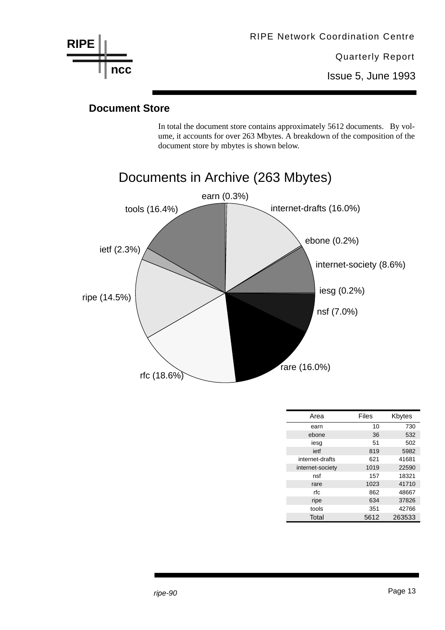

Issue 5, June 1993

#### **Document Store**

In total the document store contains approximately 5612 documents. By volume, it accounts for over 263 Mbytes. A breakdown of the composition of the document store by mbytes is shown below.



| Area             | Files | Kbytes |
|------------------|-------|--------|
| earn             | 10    | 730    |
| ebone            | 36    | 532    |
| iesg             | 51    | 502    |
| ietf             | 819   | 5982   |
| internet-drafts  | 621   | 41681  |
| internet-society | 1019  | 22590  |
| nsf              | 157   | 18321  |
| rare             | 1023  | 41710  |
| rfc              | 862   | 48667  |
| ripe             | 634   | 37826  |
| tools            | 351   | 42766  |
| Total            | 5612  | 263533 |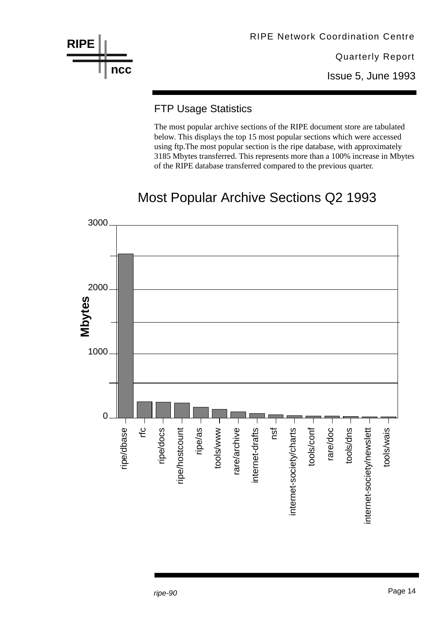

Issue 5, June 1993

#### FTP Usage Statistics

The most popular archive sections of the RIPE document store are tabulated below. This displays the top 15 most popular sections which were accessed using ftp.The most popular section is the ripe database, with approximately 3185 Mbytes transferred. This represents more than a 100% increase in Mbytes of the RIPE database transferred compared to the previous quarter.

### Most Popular Archive Sections Q2 1993

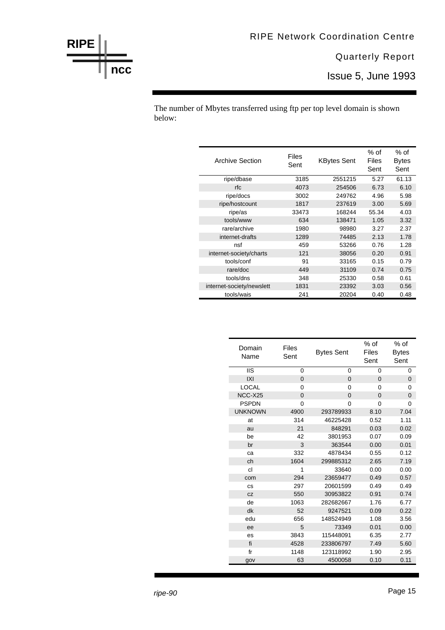## **RIPE ncc**

Quarterly Report

Issue 5, June 1993

The number of Mbytes transferred using ftp per top level domain is shown below:

| Archive Section           | Files<br>Sent | <b>KBytes Sent</b> | % of<br>Files<br>Sent | % of<br><b>Bytes</b><br>Sent |
|---------------------------|---------------|--------------------|-----------------------|------------------------------|
| ripe/dbase                | 3185          | 2551215            | 5.27                  | 61.13                        |
| rfc                       | 4073          | 254506             | 6.73                  | 6.10                         |
| ripe/docs                 | 3002          | 249762             | 4.96                  | 5.98                         |
| ripe/hostcount            | 1817          | 237619             | 3.00                  | 5.69                         |
| ripe/as                   | 33473         | 168244             | 55.34                 | 4.03                         |
| tools/www                 | 634           | 138471             | 1.05                  | 3.32                         |
| rare/archive              | 1980          | 98980              | 3.27                  | 2.37                         |
| internet-drafts           | 1289          | 74485              | 2.13                  | 1.78                         |
| nsf                       | 459           | 53266              | 0.76                  | 1.28                         |
| internet-society/charts   | 121           | 38056              | 0.20                  | 0.91                         |
| tools/conf                | 91            | 33165              | 0.15                  | 0.79                         |
| rare/doc                  | 449           | 31109              | 0.74                  | 0.75                         |
| tools/dns                 | 348           | 25330              | 0.58                  | 0.61                         |
| internet-society/newslett | 1831          | 23392              | 3.03                  | 0.56                         |
| tools/wais                | 241           | 20204              | 0.40                  | 0.48                         |

| Domain<br>Name | Files<br>Sent  | <b>Bytes Sent</b> | % of<br>Files<br>Sent | % of<br><b>Bytes</b><br>Sent |
|----------------|----------------|-------------------|-----------------------|------------------------------|
| <b>IIS</b>     | 0              | 0                 | 0                     | 0                            |
| IXI            | $\overline{0}$ | 0                 | $\overline{0}$        | 0                            |
| <b>LOCAL</b>   | $\Omega$       | 0                 | $\Omega$              | 0                            |
| NCC-X25        | $\Omega$       | 0                 | $\Omega$              | $\Omega$                     |
| <b>PSPDN</b>   | 0              | 0                 | $\Omega$              | 0                            |
| <b>UNKNOWN</b> | 4900           | 293789933         | 8.10                  | 7.04                         |
| at             | 314            | 46225428          | 0.52                  | 1.11                         |
| au             | 21             | 848291            | 0.03                  | 0.02                         |
| be             | 42             | 3801953           | 0.07                  | 0.09                         |
| br             | 3              | 363544            | 0.00                  | 0.01                         |
| ca             | 332            | 4878434           | 0.55                  | 0.12                         |
| ch             | 1604           | 299885312         | 2.65                  | 7.19                         |
| cl             | 1              | 33640             | 0.00                  | 0.00                         |
| com            | 294            | 23659477          | 0.49                  | 0.57                         |
| <b>CS</b>      | 297            | 20601599          | 0.49                  | 0.49                         |
| <b>CZ</b>      | 550            | 30953822          | 0.91                  | 0.74                         |
| de             | 1063           | 282682667         | 1.76                  | 6.77                         |
| dk             | 52             | 9247521           | 0.09                  | 0.22                         |
| edu            | 656            | 148524949         | 1.08                  | 3.56                         |
| ee             | 5              | 73349             | 0.01                  | 0.00                         |
| es             | 3843           | 115448091         | 6.35                  | 2.77                         |
| fi             | 4528           | 233806797         | 7.49                  | 5.60                         |
| fr             | 1148           | 123118992         | 1.90                  | 2.95                         |
| gov            | 63             | 4500058           | 0.10                  | 0.11                         |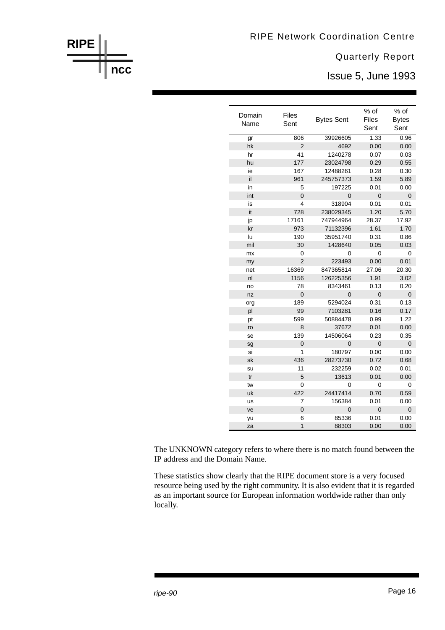

Quarterly Report

Issue 5, June 1993

| Domain<br>Name | <b>Files</b><br>Sent | <b>Bytes Sent</b> | $%$ of<br>Files<br>Sent | % of<br><b>Bytes</b><br>Sent |
|----------------|----------------------|-------------------|-------------------------|------------------------------|
|                |                      |                   |                         |                              |
| gr             | 806                  | 39926605          | 1.33                    | 0.96                         |
| hk             | $\overline{2}$       | 4692              | 0.00                    | 0.00                         |
| hr             | 41                   | 1240278           | 0.07                    | 0.03                         |
| hu             | 177                  | 23024798          | 0.29                    | 0.55                         |
| ie             | 167                  | 12488261          | 0.28                    | 0.30                         |
| il             | 961                  | 245757373         | 1.59                    | 5.89                         |
| in             | 5                    | 197225            | 0.01                    | 0.00                         |
| int            | $\mathbf 0$          | 0                 | $\mathbf 0$             | 0                            |
| is             | 4                    | 318904            | 0.01                    | 0.01                         |
| it             | 728                  | 238029345         | 1.20                    | 5.70                         |
| jp             | 17161                | 747944964         | 28.37                   | 17.92                        |
| kr             | 973                  | 71132396          | 1.61                    | 1.70                         |
| lu             | 190                  | 35951740          | 0.31                    | 0.86                         |
| mil            | 30                   | 1428640           | 0.05                    | 0.03                         |
| mx             | 0                    | 0                 | 0                       | 0                            |
| my             | $\overline{2}$       | 223493            | 0.00                    | 0.01                         |
| net            | 16369                | 847365814         | 27.06                   | 20.30                        |
| nl             | 1156                 | 126225356         | 1.91                    | 3.02                         |
| no             | 78                   | 8343461           | 0.13                    | 0.20                         |
| nz             | $\mathbf 0$          | 0                 | $\overline{0}$          | $\overline{0}$               |
| org            | 189                  | 5294024           | 0.31                    | 0.13                         |
| pl             | 99                   | 7103281           | 0.16                    | 0.17                         |
| pt             | 599                  | 50884478          | 0.99                    | 1.22                         |
| ro             | 8                    | 37672             | 0.01                    | 0.00                         |
| se             | 139                  | 14506064          | 0.23                    | 0.35                         |
| sg             | 0                    | 0                 | 0                       | $\overline{0}$               |
| si             | 1                    | 180797            | 0.00                    | 0.00                         |
| sk             | 436                  | 28273730          | 0.72                    | 0.68                         |
| su             | 11                   | 232259            | 0.02                    | 0.01                         |
| tr             | 5                    | 13613             | 0.01                    | 0.00                         |
| tw             | 0                    | 0                 | 0                       | 0                            |
| uk             | 422                  | 24417414          | 0.70                    | 0.59                         |
| us             | 7                    | 156384            | 0.01                    | 0.00                         |
| ve             | $\mathbf 0$          | 0                 | $\mathbf 0$             | 0                            |
| yu             | 6                    | 85336             | 0.01                    | 0.00                         |
| za             | $\overline{1}$       | 88303             | 0.00                    | 0.00                         |

The UNKNOWN category refers to where there is no match found between the IP address and the Domain Name.

These statistics show clearly that the RIPE document store is a very focused resource being used by the right community. It is also evident that it is regarded as an important source for European information worldwide rather than only locally.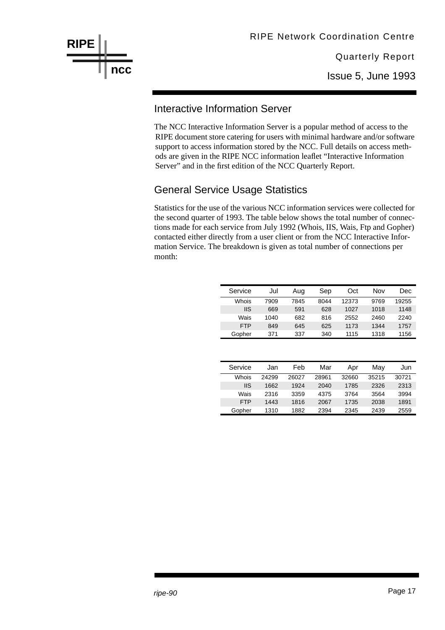

Issue 5, June 1993

#### Interactive Information Server

The NCC Interactive Information Server is a popular method of access to the RIPE document store catering for users with minimal hardware and/or software support to access information stored by the NCC. Full details on access methods are given in the RIPE NCC information leaflet "Interactive Information Server" and in the first edition of the NCC Quarterly Report.

#### General Service Usage Statistics

Statistics for the use of the various NCC information services were collected for the second quarter of 1993. The table below shows the total number of connections made for each service from July 1992 (Whois, IIS, Wais, Ftp and Gopher) contacted either directly from a user client or from the NCC Interactive Information Service. The breakdown is given as total number of connections per month:

| Service    | Jul  | Aug  | Sep  | Oct   | Nov  | Dec   |
|------------|------|------|------|-------|------|-------|
| Whois      | 7909 | 7845 | 8044 | 12373 | 9769 | 19255 |
| <b>IIS</b> | 669  | 591  | 628  | 1027  | 1018 | 1148  |
| Wais       | 1040 | 682  | 816  | 2552  | 2460 | 2240  |
| <b>FTP</b> | 849  | 645  | 625  | 1173  | 1344 | 1757  |
| Gopher     | 371  | 337  | 340  | 1115  | 1318 | 1156  |
|            |      |      |      |       |      |       |
|            |      |      |      |       |      |       |

| Service    | Jan   | Feb   | Mar   | Apr   | May   | Jun   |
|------------|-------|-------|-------|-------|-------|-------|
| Whois      | 24299 | 26027 | 28961 | 32660 | 35215 | 30721 |
| <b>IIS</b> | 1662  | 1924  | 2040  | 1785  | 2326  | 2313  |
| Wais       | 2316  | 3359  | 4375  | 3764  | 3564  | 3994  |
| <b>FTP</b> | 1443  | 1816  | 2067  | 1735  | 2038  | 1891  |
| Gopher     | 1310  | 1882  | 2394  | 2345  | 2439  | 2559  |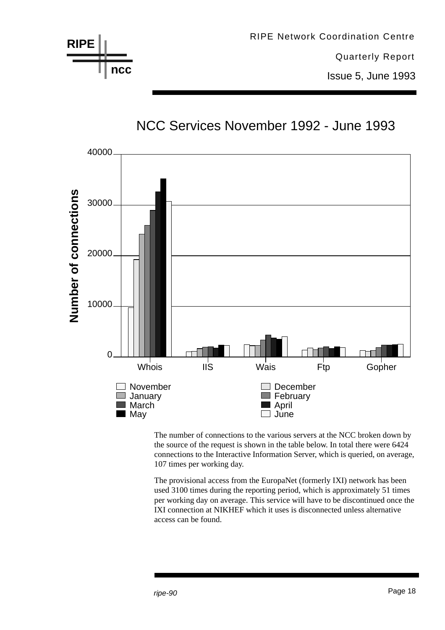





The number of connections to the various servers at the NCC broken down by the source of the request is shown in the table below. In total there were 6424 connections to the Interactive Information Server, which is queried, on average, 107 times per working day.

The provisional access from the EuropaNet (formerly IXI) network has been used 3100 times during the reporting period, which is approximately 51 times per working day on average. This service will have to be discontinued once the IXI connection at NIKHEF which it uses is disconnected unless alternative access can be found.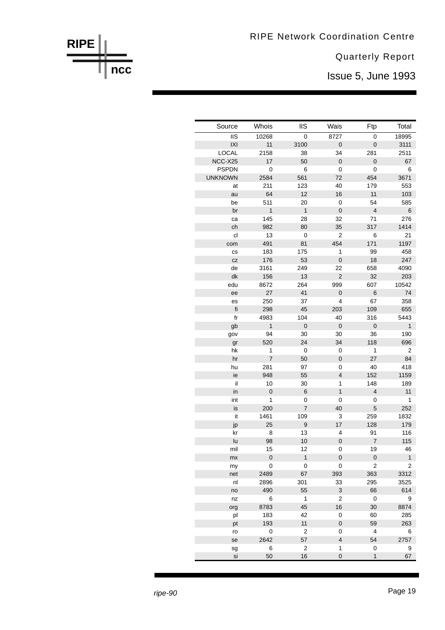Quarterly Report

Issue 5, June 1993

| Source                  | Whois           | <b>IIS</b>              | Wais                    | Ftp                     | Total        |
|-------------------------|-----------------|-------------------------|-------------------------|-------------------------|--------------|
| <b>IIS</b>              | 10268           | 0                       | 8727                    | 0                       | 18995        |
| X                       | 11              | 3100                    | 0                       | $\mathbf 0$             | 3111         |
| LOCAL                   | 2158            | 38                      | 34                      | 281                     | 2511         |
| NCC-X25                 | 17              | 50                      | $\mathbf 0$             | $\pmb{0}$               | 67           |
| <b>PSPDN</b>            | 0               | 6                       | 0                       | 0                       | 6            |
| <b>UNKNOWN</b>          | 2584            | 561                     | 72                      | 454                     | 3671         |
| at                      | 211             | 123                     | 40                      | 179                     | 553          |
| au                      | 64              | 12                      | 16                      | 11                      | 103          |
| be                      | 511             | 20                      | 0                       | 54                      | 585          |
| br                      | $\mathbf{1}$    | $\mathbf{1}$            | $\pmb{0}$               | $\overline{4}$          | 6            |
| ca                      | 145             | 28                      | 32                      | 71                      | 276          |
| ch                      | 982             | 80                      | 35                      | 317                     | 1414         |
| cl                      | 13              | 0                       | 2                       | 6                       | 21           |
| com                     | 491             | 81                      | 454                     | 171                     | 1197         |
| CS                      | 183             | 175                     | 1                       | 99                      | 458          |
| ${\tt CZ}$              | 176             | 53                      | $\mathbf 0$             | 18                      | 247          |
| de                      | 3161            | 249                     | 22                      | 658                     | 4090         |
| $\mathsf{d}\mathsf{k}$  | 156             | 13                      | $\overline{c}$          | 32                      | 203          |
| edu                     | 8672            | 264                     | 999                     | 607                     | 10542        |
| ee                      | 27              | 41                      | 0                       | $\,6$                   | 74           |
| es                      | 250             | 37                      | 4                       | 67                      | 358          |
| fi                      | 298             | 45                      | 203                     | 109                     | 655          |
| $\operatorname{\sf fr}$ | 4983            | 104                     | 40                      | 316                     | 5443         |
| gb                      | $\mathbf{1}$    | $\pmb{0}$               | $\mathsf{O}\xspace$     | $\pmb{0}$               | $\mathbf{1}$ |
| gov                     | 94              | 30                      | 30                      | 36                      | 190          |
| gr                      | 520             | 24                      | 34                      | 118                     | 696          |
| hk                      | 1               | 0                       | 0                       | $\mathbf{1}$            | 2            |
| hr                      | $\overline{7}$  | 50                      | $\mathbf 0$             | 27                      | 84           |
| hu                      | 281             | 97                      | 0                       | 40                      | 418          |
| ie                      | 948             | 55                      | 4                       | 152                     | 1159         |
| il<br>in                | 10<br>$\pmb{0}$ | 30<br>6                 | 1<br>$\mathbf{1}$       | 148<br>$\overline{4}$   | 189<br>11    |
| int                     | $\mathbf{1}$    | 0                       | $\mathsf 0$             | 0                       | 1            |
| is                      | 200             | $\overline{7}$          | 40                      | $\mathbf 5$             | 252          |
| it                      | 1461            | 109                     | 3                       | 259                     | 1832         |
| jp                      | 25              | $\boldsymbol{9}$        | 17                      | 128                     | 179          |
| kr                      | 8               | 13                      | 4                       | 91                      | 116          |
| lu                      | 98              | 10                      | $\pmb{0}$               | $\boldsymbol{7}$        | 115          |
| mil                     | 15              | 12                      | 0                       | 19                      | 46           |
| mx                      | 0               | 1                       | 0                       | 0                       | 1            |
| my                      | 0               | 0                       | 0                       | 2                       | 2            |
| net                     | 2489            | 67                      | 393                     | 363                     | 3312         |
| nl                      | 2896            | 301                     | 33                      | 295                     | 3525         |
| no                      | 490             | 55                      | 3                       | 66                      | 614          |
| nz                      | 6               | $\mathbf{1}$            | $\overline{\mathbf{c}}$ | 0                       | 9            |
| org                     | 8783            | 45                      | 16                      | 30                      | 8874         |
| pl                      | 183             | 42                      | 0                       | 60                      | 285          |
| pt                      | 193             | 11                      | $\pmb{0}$               | 59                      | 263          |
| ro                      | 0               | 2                       | 0                       | $\overline{\mathbf{4}}$ | 6            |
| se                      | 2642            | 57                      | $\overline{\mathbf{4}}$ | 54                      | 2757         |
| sg                      | 6               | $\overline{\mathbf{c}}$ | $\mathbf{1}$            | 0                       | 9            |
| si                      | 50              | 16                      | $\mathbf 0$             | $\mathbf{1}$            | 67           |

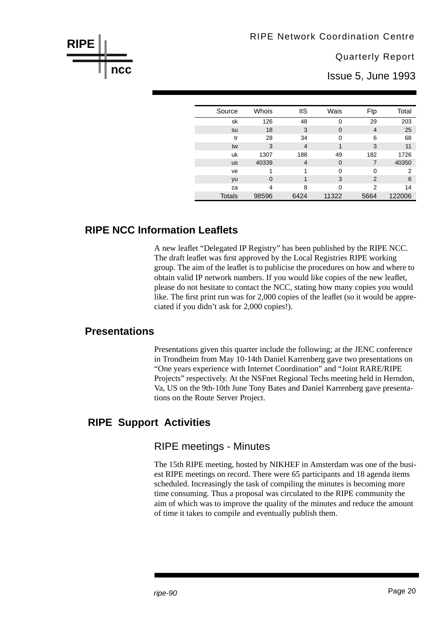Quarterly Report

Issue 5, June 1993

| Source        | Whois    | <b>IIS</b>     | Wais     | Ftp            | Total          |
|---------------|----------|----------------|----------|----------------|----------------|
| sk            | 126      | 48             | $\Omega$ | 29             | 203            |
| su            | 18       | 3              | $\Omega$ | $\overline{4}$ | 25             |
| tr            | 28       | 34             | $\Omega$ | 6              | 68             |
| tw            | 3        | $\overline{4}$ | 1        | 3              | 11             |
| uk            | 1307     | 188            | 49       | 182            | 1726           |
| <b>us</b>     | 40339    | 4              | $\Omega$ | 7              | 40350          |
| ve            |          | 4              | $\Omega$ | 0              | $\overline{2}$ |
| yu            | $\Omega$ |                | 3        | $\overline{2}$ | 6              |
| za            | 4        | 8              | $\Omega$ | $\overline{2}$ | 14             |
| <b>Totals</b> | 98596    | 6424           | 11322    | 5664           | 122006         |

#### **RIPE NCC Information Leaflets**

A new leaflet "Delegated IP Registry" has been published by the RIPE NCC. The draft leaflet was first approved by the Local Registries RIPE working group. The aim of the leaflet is to publicise the procedures on how and where to obtain valid IP network numbers. If you would like copies of the new leaflet, please do not hesitate to contact the NCC, stating how many copies you would like. The first print run was for 2,000 copies of the leaflet (so it would be appreciated if you didn't ask for 2,000 copies!).

#### **Presentations**

**RIPE**

**ncc**

Presentations given this quarter include the following; at the JENC conference in Trondheim from May 10-14th Daniel Karrenberg gave two presentations on "One years experience with Internet Coordination" and "Joint RARE/RIPE Projects" respectively. At the NSFnet Regional Techs meeting held in Herndon, Va, US on the 9th-10th June Tony Bates and Daniel Karrenberg gave presentations on the Route Server Project.

#### **RIPE Support Activities**

#### RIPE meetings - Minutes

The 15th RIPE meeting, hosted by NIKHEF in Amsterdam was one of the busiest RIPE meetings on record. There were 65 participants and 18 agenda items scheduled. Increasingly the task of compiling the minutes is becoming more time consuming. Thus a proposal was circulated to the RIPE community the aim of which was to improve the quality of the minutes and reduce the amount of time it takes to compile and eventually publish them.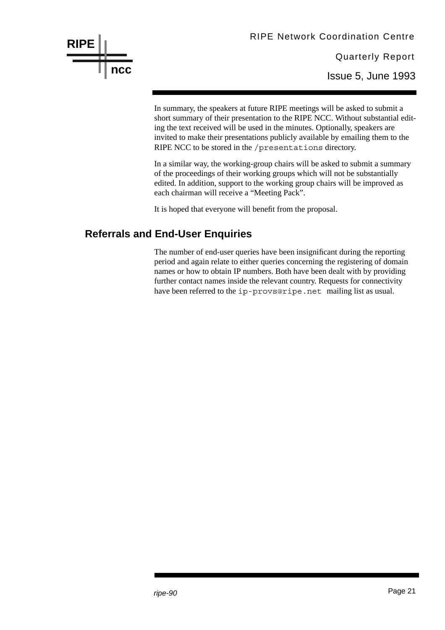

Issue 5, June 1993

In summary, the speakers at future RIPE meetings will be asked to submit a short summary of their presentation to the RIPE NCC. Without substantial editing the text received will be used in the minutes. Optionally, speakers are invited to make their presentations publicly available by emailing them to the RIPE NCC to be stored in the /presentations directory.

In a similar way, the working-group chairs will be asked to submit a summary of the proceedings of their working groups which will not be substantially edited. In addition, support to the working group chairs will be improved as each chairman will receive a "Meeting Pack".

It is hoped that everyone will benefit from the proposal.

#### **Referrals and End-User Enquiries**

The number of end-user queries have been insignificant during the reporting period and again relate to either queries concerning the registering of domain names or how to obtain IP numbers. Both have been dealt with by providing further contact names inside the relevant country. Requests for connectivity have been referred to the ip-provs@ripe.net mailing list as usual.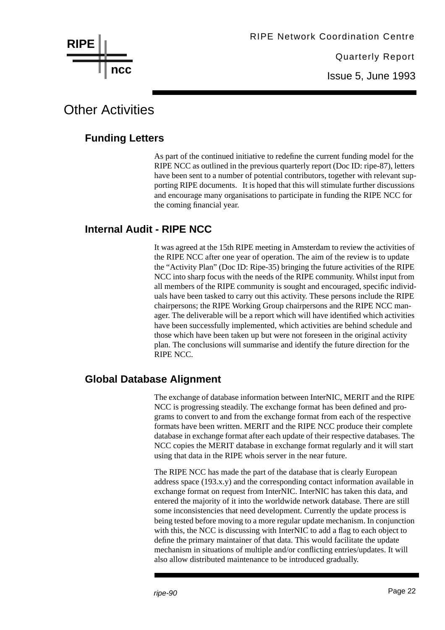

Quarterly Report Issue 5, June 1993

Other Activities

#### **Funding Letters**

As part of the continued initiative to redefine the current funding model for the RIPE NCC as outlined in the previous quarterly report (Doc ID: ripe-87), letters have been sent to a number of potential contributors, together with relevant supporting RIPE documents. It is hoped that this will stimulate further discussions and encourage many organisations to participate in funding the RIPE NCC for the coming financial year.

#### **Internal Audit - RIPE NCC**

It was agreed at the 15th RIPE meeting in Amsterdam to review the activities of the RIPE NCC after one year of operation. The aim of the review is to update the "Activity Plan" (Doc ID: Ripe-35) bringing the future activities of the RIPE NCC into sharp focus with the needs of the RIPE community. Whilst input from all members of the RIPE community is sought and encouraged, specific individuals have been tasked to carry out this activity. These persons include the RIPE chairpersons; the RIPE Working Group chairpersons and the RIPE NCC manager. The deliverable will be a report which will have identified which activities have been successfully implemented, which activities are behind schedule and those which have been taken up but were not foreseen in the original activity plan. The conclusions will summarise and identify the future direction for the RIPE NCC.

#### **Global Database Alignment**

The exchange of database information between InterNIC, MERIT and the RIPE NCC is progressing steadily. The exchange format has been defined and programs to convert to and from the exchange format from each of the respective formats have been written. MERIT and the RIPE NCC produce their complete database in exchange format after each update of their respective databases. The NCC copies the MERIT database in exchange format regularly and it will start using that data in the RIPE whois server in the near future.

The RIPE NCC has made the part of the database that is clearly European address space (193.x.y) and the corresponding contact information available in exchange format on request from InterNIC. InterNIC has taken this data, and entered the majority of it into the worldwide network database. There are still some inconsistencies that need development. Currently the update process is being tested before moving to a more regular update mechanism. In conjunction with this, the NCC is discussing with InterNIC to add a flag to each object to define the primary maintainer of that data. This would facilitate the update mechanism in situations of multiple and/or conflicting entries/updates. It will also allow distributed maintenance to be introduced gradually.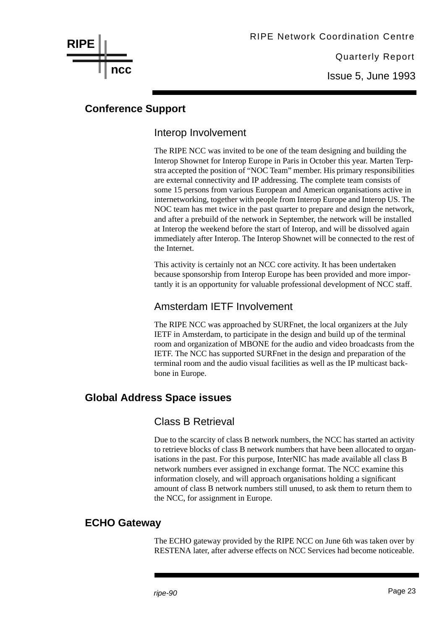

Issue 5, June 1993

#### **Conference Support**

#### Interop Involvement

The RIPE NCC was invited to be one of the team designing and building the Interop Shownet for Interop Europe in Paris in October this year. Marten Terpstra accepted the position of "NOC Team" member. His primary responsibilities are external connectivity and IP addressing. The complete team consists of some 15 persons from various European and American organisations active in internetworking, together with people from Interop Europe and Interop US. The NOC team has met twice in the past quarter to prepare and design the network, and after a prebuild of the network in September, the network will be installed at Interop the weekend before the start of Interop, and will be dissolved again immediately after Interop. The Interop Shownet will be connected to the rest of the Internet.

This activity is certainly not an NCC core activity. It has been undertaken because sponsorship from Interop Europe has been provided and more importantly it is an opportunity for valuable professional development of NCC staff.

#### Amsterdam IETF Involvement

The RIPE NCC was approached by SURFnet, the local organizers at the July IETF in Amsterdam, to participate in the design and build up of the terminal room and organization of MBONE for the audio and video broadcasts from the IETF. The NCC has supported SURFnet in the design and preparation of the terminal room and the audio visual facilities as well as the IP multicast backbone in Europe.

#### **Global Address Space issues**

#### Class B Retrieval

Due to the scarcity of class B network numbers, the NCC has started an activity to retrieve blocks of class B network numbers that have been allocated to organisations in the past. For this purpose, InterNIC has made available all class B network numbers ever assigned in exchange format. The NCC examine this information closely, and will approach organisations holding a significant amount of class B network numbers still unused, to ask them to return them to the NCC, for assignment in Europe.

#### **ECHO Gateway**

The ECHO gateway provided by the RIPE NCC on June 6th was taken over by RESTENA later, after adverse effects on NCC Services had become noticeable.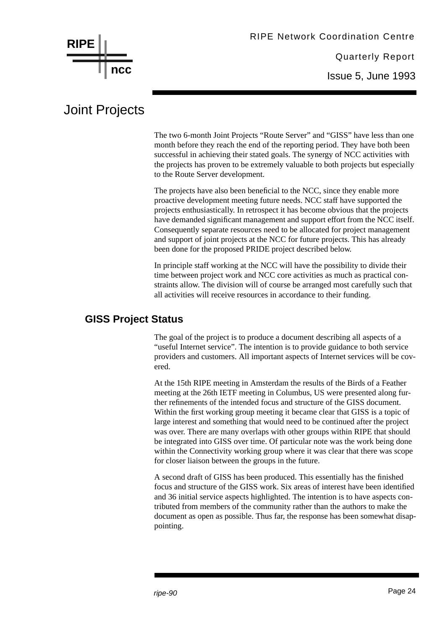

Quarterly Report Issue 5, June 1993

### Joint Projects

The two 6-month Joint Projects "Route Server" and "GISS" have less than one month before they reach the end of the reporting period. They have both been successful in achieving their stated goals. The synergy of NCC activities with the projects has proven to be extremely valuable to both projects but especially to the Route Server development.

The projects have also been beneficial to the NCC, since they enable more proactive development meeting future needs. NCC staff have supported the projects enthusiastically. In retrospect it has become obvious that the projects have demanded significant management and support effort from the NCC itself. Consequently separate resources need to be allocated for project management and support of joint projects at the NCC for future projects. This has already been done for the proposed PRIDE project described below.

In principle staff working at the NCC will have the possibility to divide their time between project work and NCC core activities as much as practical constraints allow. The division will of course be arranged most carefully such that all activities will receive resources in accordance to their funding.

#### **GISS Project Status**

The goal of the project is to produce a document describing all aspects of a "useful Internet service". The intention is to provide guidance to both service providers and customers. All important aspects of Internet services will be covered.

At the 15th RIPE meeting in Amsterdam the results of the Birds of a Feather meeting at the 26th IETF meeting in Columbus, US were presented along further refinements of the intended focus and structure of the GISS document. Within the first working group meeting it became clear that GISS is a topic of large interest and something that would need to be continued after the project was over. There are many overlaps with other groups within RIPE that should be integrated into GISS over time. Of particular note was the work being done within the Connectivity working group where it was clear that there was scope for closer liaison between the groups in the future.

A second draft of GISS has been produced. This essentially has the finished focus and structure of the GISS work. Six areas of interest have been identified and 36 initial service aspects highlighted. The intention is to have aspects contributed from members of the community rather than the authors to make the document as open as possible. Thus far, the response has been somewhat disappointing.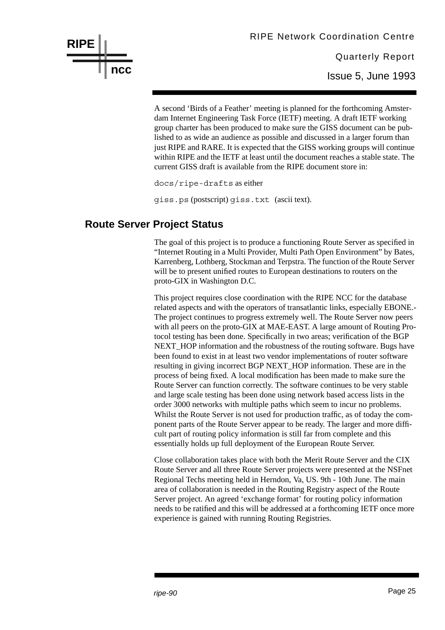

Issue 5, June 1993

A second 'Birds of a Feather' meeting is planned for the forthcoming Amsterdam Internet Engineering Task Force (IETF) meeting. A draft IETF working group charter has been produced to make sure the GISS document can be published to as wide an audience as possible and discussed in a larger forum than just RIPE and RARE. It is expected that the GISS working groups will continue within RIPE and the IETF at least until the document reaches a stable state. The current GISS draft is available from the RIPE document store in:

docs/ripe-drafts as either

giss.ps (postscript) giss.txt (ascii text).

#### **Route Server Project Status**

The goal of this project is to produce a functioning Route Server as specified in "Internet Routing in a Multi Provider, Multi Path Open Environment" by Bates, Karrenberg, Lothberg, Stockman and Terpstra. The function of the Route Server will be to present unified routes to European destinations to routers on the proto-GIX in Washington D.C.

This project requires close coordination with the RIPE NCC for the database related aspects and with the operators of transatlantic links, especially EBONE.- The project continues to progress extremely well. The Route Server now peers with all peers on the proto-GIX at MAE-EAST. A large amount of Routing Protocol testing has been done. Specifically in two areas; verification of the BGP NEXT HOP information and the robustness of the routing software. Bugs have been found to exist in at least two vendor implementations of router software resulting in giving incorrect BGP NEXT\_HOP information. These are in the process of being fixed. A local modification has been made to make sure the Route Server can function correctly. The software continues to be very stable and large scale testing has been done using network based access lists in the order 3000 networks with multiple paths which seem to incur no problems. Whilst the Route Server is not used for production traffic, as of today the component parts of the Route Server appear to be ready. The larger and more difficult part of routing policy information is still far from complete and this essentially holds up full deployment of the European Route Server.

Close collaboration takes place with both the Merit Route Server and the CIX Route Server and all three Route Server projects were presented at the NSFnet Regional Techs meeting held in Herndon, Va, US. 9th - 10th June. The main area of collaboration is needed in the Routing Registry aspect of the Route Server project. An agreed 'exchange format' for routing policy information needs to be ratified and this will be addressed at a forthcoming IETF once more experience is gained with running Routing Registries.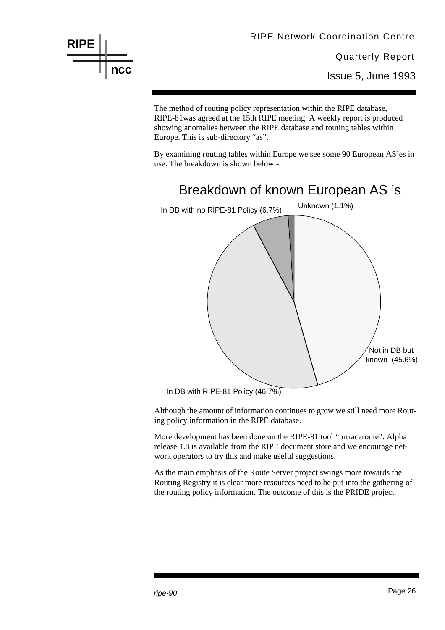

Issue 5, June 1993

The method of routing policy representation within the RIPE database, RIPE-81was agreed at the 15th RIPE meeting. A weekly report is produced showing anomalies between the RIPE database and routing tables within Europe. This is sub-directory "as".

By examining routing tables within Europe we see some 90 European AS'es in use. The breakdown is shown below:-



Although the amount of information continues to grow we still need more Routing policy information in the RIPE database.

More development has been done on the RIPE-81 tool "prtraceroute". Alpha release 1.8 is available from the RIPE document store and we encourage network operators to try this and make useful suggestions.

As the main emphasis of the Route Server project swings more towards the Routing Registry it is clear more resources need to be put into the gathering of the routing policy information. The outcome of this is the PRIDE project.

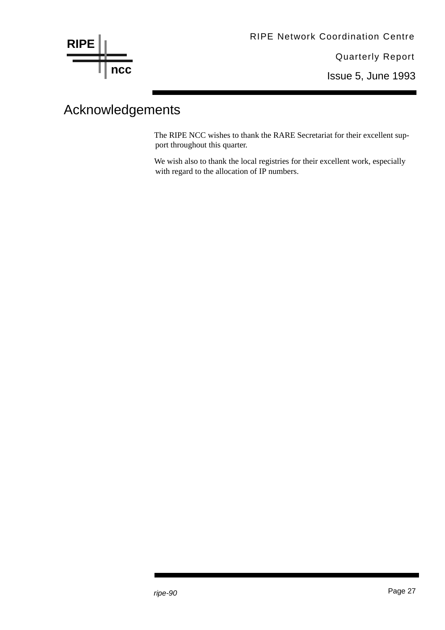

Issue 5, June 1993

### Acknowledgements

The RIPE NCC wishes to thank the RARE Secretariat for their excellent support throughout this quarter.

We wish also to thank the local registries for their excellent work, especially with regard to the allocation of IP numbers.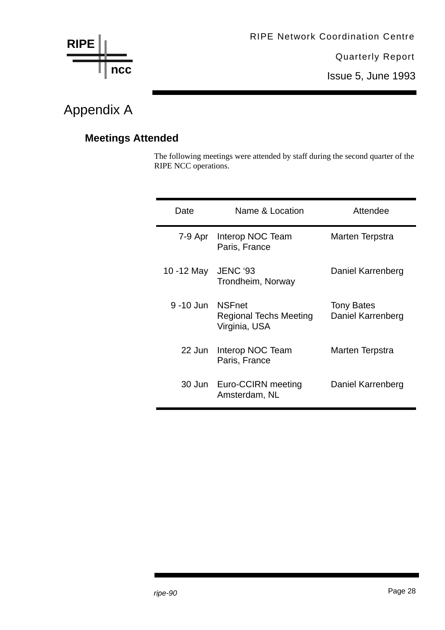

Issue 5, June 1993

### Appendix A

### **Meetings Attended**

The following meetings were attended by staff during the second quarter of the RIPE NCC operations.

| Date       | Name & Location                                                 | Attendee                               |
|------------|-----------------------------------------------------------------|----------------------------------------|
| 7-9 Apr    | Interop NOC Team<br>Paris, France                               | Marten Terpstra                        |
| 10 -12 May | <b>JENC '93</b><br>Trondheim, Norway                            | Daniel Karrenberg                      |
| 9 -10 Jun  | <b>NSFnet</b><br><b>Regional Techs Meeting</b><br>Virginia, USA | <b>Tony Bates</b><br>Daniel Karrenberg |
| 22 Jun     | Interop NOC Team<br>Paris, France                               | Marten Terpstra                        |
|            | 30 Jun Euro-CCIRN meeting<br>Amsterdam, NL                      | Daniel Karrenberg                      |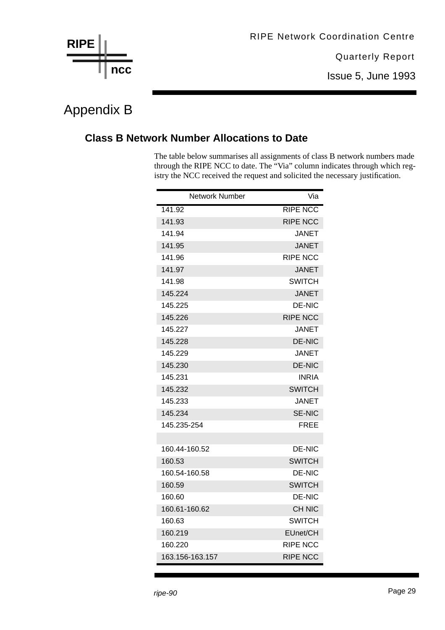

Issue 5, June 1993

### Appendix B

#### **Class B Network Number Allocations to Date**

The table below summarises all assignments of class B network numbers made through the RIPE NCC to date. The "Via" column indicates through which registry the NCC received the request and solicited the necessary justification.

| Network Number  | Via             |
|-----------------|-----------------|
| 141.92          | <b>RIPE NCC</b> |
| 141.93          | <b>RIPE NCC</b> |
| 141.94          | <b>JANET</b>    |
| 141.95          | JANET           |
| 141.96          | <b>RIPE NCC</b> |
| 141.97          | <b>JANET</b>    |
| 141.98          | <b>SWITCH</b>   |
| 145.224         | <b>JANET</b>    |
| 145.225         | <b>DE-NIC</b>   |
| 145.226         | <b>RIPE NCC</b> |
| 145.227         | JANET           |
| 145.228         | <b>DE-NIC</b>   |
| 145.229         | JANET           |
| 145.230         | <b>DE-NIC</b>   |
| 145.231         | INRIA           |
| 145.232         | <b>SWITCH</b>   |
| 145.233         | <b>JANET</b>    |
| 145.234         | <b>SE-NIC</b>   |
| 145.235-254     | FREE            |
|                 |                 |
| 160.44-160.52   | DE-NIC          |
| 160.53          | <b>SWITCH</b>   |
| 160.54-160.58   | DE-NIC          |
| 160.59          | <b>SWITCH</b>   |
| 160.60          | DE-NIC          |
| 160.61-160.62   | <b>CH NIC</b>   |
| 160.63          | <b>SWITCH</b>   |
| 160.219         | EUnet/CH        |
| 160.220         | <b>RIPE NCC</b> |
| 163.156-163.157 | <b>RIPE NCC</b> |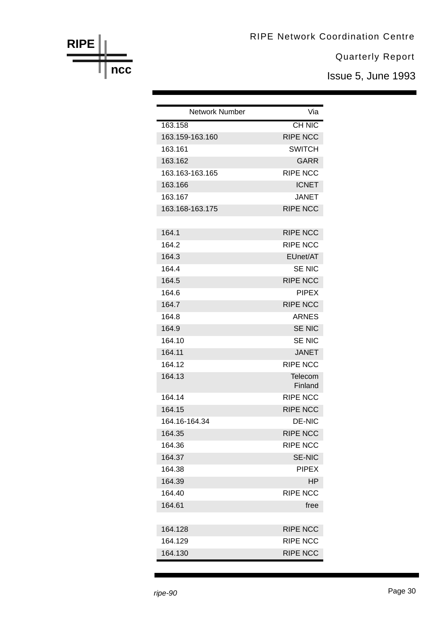Quarterly Report

Issue 5, June 1993

| <b>Network Number</b> | Via                |
|-----------------------|--------------------|
| 163.158               | <b>CH NIC</b>      |
| 163.159-163.160       | <b>RIPE NCC</b>    |
| 163.161               | <b>SWITCH</b>      |
| 163.162               | GARR               |
| 163.163-163.165       | <b>RIPE NCC</b>    |
| 163.166               | <b>ICNET</b>       |
| 163.167               | JANET              |
| 163.168-163.175       | <b>RIPE NCC</b>    |
|                       |                    |
| 164.1                 | <b>RIPE NCC</b>    |
| 164.2                 | <b>RIPE NCC</b>    |
| 164.3                 | EUnet/AT           |
| 164.4                 | <b>SE NIC</b>      |
| 164.5                 | <b>RIPE NCC</b>    |
| 164.6                 | <b>PIPEX</b>       |
| 164.7                 | <b>RIPE NCC</b>    |
| 164.8                 | <b>ARNES</b>       |
| 164.9                 | <b>SE NIC</b>      |
| 164.10                | <b>SE NIC</b>      |
| 164.11                | <b>JANET</b>       |
| 164.12                | <b>RIPE NCC</b>    |
| 164.13                | Telecom<br>Finland |
| 164.14                | <b>RIPE NCC</b>    |
| 164.15                | <b>RIPE NCC</b>    |
| 164.16-164.34         | DE-NIC             |
| 164.35                | RIPE NCC           |
| 164.36                | <b>RIPE NCC</b>    |
| 164.37                | <b>SE-NIC</b>      |
| 164.38                | <b>PIPEX</b>       |
| 164.39                | HP                 |
| 164.40                | RIPE NCC           |
| 164.61                | free               |
|                       |                    |
| 164.128               | <b>RIPE NCC</b>    |
| 164.129               | RIPE NCC           |
| 164.130               | <b>RIPE NCC</b>    |

**ncc**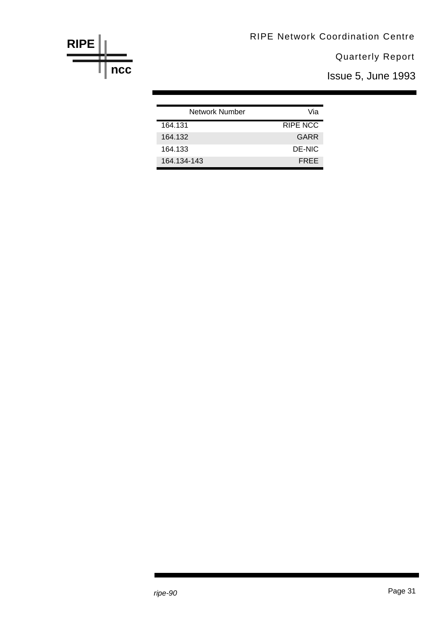

Quarterly Report

Issue 5, June 1993

| Network Number | Via      |
|----------------|----------|
| 164.131        | RIPE NCC |
| 164.132        | GARR     |
| 164.133        | DE-NIC   |
| 164 134-143    | FRFF     |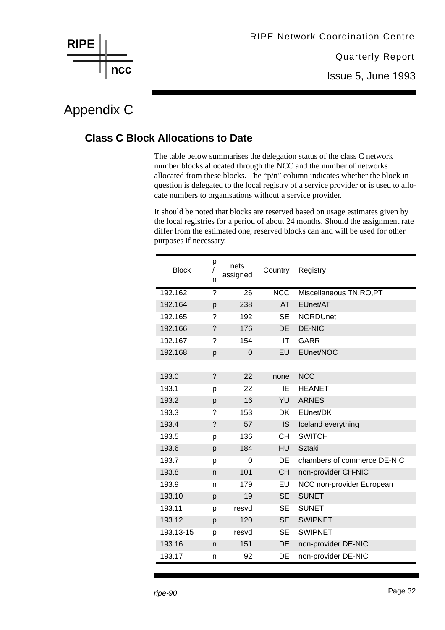

Issue 5, June 1993

### Appendix C

#### **Class C Block Allocations to Date**

The table below summarises the delegation status of the class C network number blocks allocated through the NCC and the number of networks allocated from these blocks. The "p/n" column indicates whether the block in question is delegated to the local registry of a service provider or is used to allocate numbers to organisations without a service provider.

It should be noted that blocks are reserved based on usage estimates given by the local registries for a period of about 24 months. Should the assignment rate differ from the estimated one, reserved blocks can and will be used for other purposes if necessary.

| <b>Block</b> | р<br>n | nets<br>assigned | Country   | Registry                    |
|--------------|--------|------------------|-----------|-----------------------------|
| 192.162      | ?      | 26               | NCC       | Miscellaneous TN, RO, PT    |
| 192.164      | p      | 238              | <b>AT</b> | EUnet/AT                    |
| 192.165      | ?      | 192              | <b>SE</b> | <b>NORDUnet</b>             |
| 192.166      | ?      | 176              | DE        | DE-NIC                      |
| 192.167      | ?      | 154              | ΙT        | <b>GARR</b>                 |
| 192.168      | р      | $\Omega$         | EU        | EUnet/NOC                   |
|              |        |                  |           |                             |
| 193.0        | ?      | 22               | none      | <b>NCC</b>                  |
| 193.1        | р      | 22               | ΙE        | <b>HEANET</b>               |
| 193.2        | р      | 16               | YU        | <b>ARNES</b>                |
| 193.3        | ?      | 153              | <b>DK</b> | EUnet/DK                    |
| 193.4        | ?      | 57               | IS        | Iceland everything          |
| 193.5        | р      | 136              | <b>CH</b> | <b>SWITCH</b>               |
| 193.6        | p      | 184              | <b>HU</b> | Sztaki                      |
| 193.7        | р      | 0                | DE        | chambers of commerce DE-NIC |
| 193.8        | n      | 101              | <b>CH</b> | non-provider CH-NIC         |
| 193.9        | n      | 179              | EU        | NCC non-provider European   |
| 193.10       | p      | 19               | <b>SE</b> | <b>SUNET</b>                |
| 193.11       | р      | resvd            | <b>SE</b> | <b>SUNET</b>                |
| 193.12       | p      | 120              | <b>SE</b> | <b>SWIPNET</b>              |
| 193.13-15    | р      | resvd            | <b>SE</b> | <b>SWIPNET</b>              |
| 193.16       | n      | 151              | <b>DE</b> | non-provider DE-NIC         |
| 193.17       | n      | 92               | DE        | non-provider DE-NIC         |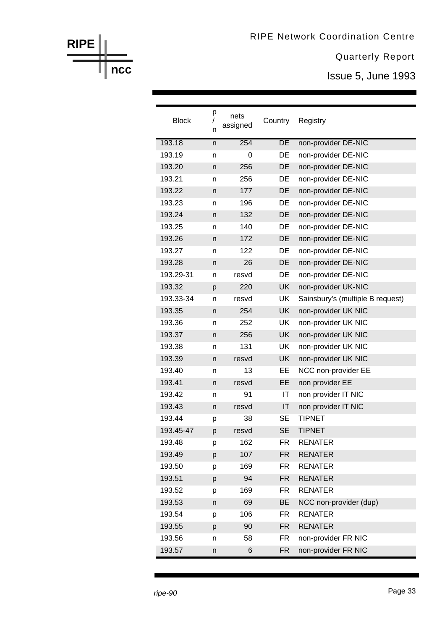Issue 5, June 1993

| <b>Block</b> | р<br>n | nets<br>assigned | Country   | Registry                         |
|--------------|--------|------------------|-----------|----------------------------------|
| 193.18       | n      | 254              | DE        | non-provider DE-NIC              |
| 193.19       | n      | 0                | DE        | non-provider DE-NIC              |
| 193.20       | n      | 256              | DE        | non-provider DE-NIC              |
| 193.21       | n      | 256              | DE        | non-provider DE-NIC              |
| 193.22       | n      | 177              | DE        | non-provider DE-NIC              |
| 193.23       | n      | 196              | DE        | non-provider DE-NIC              |
| 193.24       | n      | 132              | DE        | non-provider DE-NIC              |
| 193.25       | n      | 140              | DE        | non-provider DE-NIC              |
| 193.26       | n      | 172              | DE        | non-provider DE-NIC              |
| 193.27       | n      | 122              | DE        | non-provider DE-NIC              |
| 193.28       | n      | 26               | DE        | non-provider DE-NIC              |
| 193.29-31    | n      | resvd            | DE        | non-provider DE-NIC              |
| 193.32       | p      | 220              | UK        | non-provider UK-NIC              |
| 193.33-34    | n      | resvd            | UK        | Sainsbury's (multiple B request) |
| 193.35       | n      | 254              | <b>UK</b> | non-provider UK NIC              |
| 193.36       | n      | 252              | <b>UK</b> | non-provider UK NIC              |
| 193.37       | n      | 256              | <b>UK</b> | non-provider UK NIC              |
| 193.38       | n      | 131              | <b>UK</b> | non-provider UK NIC              |
| 193.39       | n      | resvd            | UK        | non-provider UK NIC              |
| 193.40       | n      | 13               | EE        | NCC non-provider EE              |
| 193.41       | n      | resvd            | EE        | non provider EE                  |
| 193.42       | n      | 91               | IT        | non provider IT NIC              |
| 193.43       | n      | resvd            | IT        | non provider IT NIC              |
| 193.44       | р      | 38               | SЕ        | TIPNET                           |
| 193.45-47    | p      | resvd            | <b>SE</b> | <b>TIPNET</b>                    |
| 193.48       | р      | 162              | FR        | <b>RENATER</b>                   |
| 193.49       | p      | 107              | <b>FR</b> | <b>RENATER</b>                   |
| 193.50       | p      | 169              | FR        | <b>RENATER</b>                   |
| 193.51       | p      | 94               | <b>FR</b> | <b>RENATER</b>                   |
| 193.52       | р      | 169              | FR        | <b>RENATER</b>                   |
| 193.53       | n      | 69               | <b>BE</b> | NCC non-provider (dup)           |
| 193.54       | р      | 106              | FR        | <b>RENATER</b>                   |
| 193.55       | p      | 90               | <b>FR</b> | <b>RENATER</b>                   |
| 193.56       | n      | 58               | <b>FR</b> | non-provider FR NIC              |
| 193.57       | n      | 6                | <b>FR</b> | non-provider FR NIC              |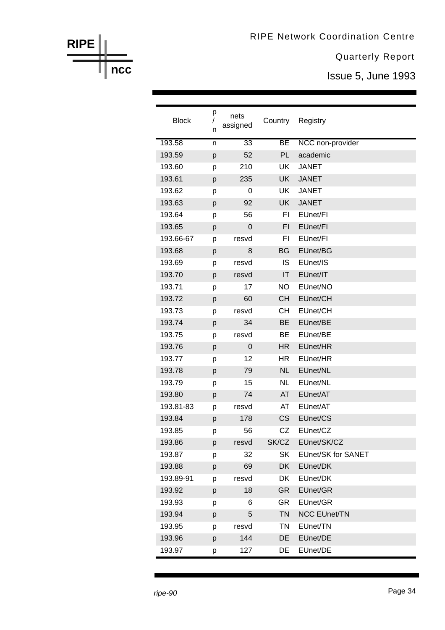Issue 5, June 1993

| <b>Block</b> | р<br>n | nets<br>assigned | Country   | Registry            |
|--------------|--------|------------------|-----------|---------------------|
| 193.58       | n      | 33               | <b>BE</b> | NCC non-provider    |
| 193.59       | р      | 52               | PL        | academic            |
| 193.60       | р      | 210              | UK        | <b>JANET</b>        |
| 193.61       | p      | 235              | UK        | <b>JANET</b>        |
| 193.62       | p      | 0                | <b>UK</b> | <b>JANET</b>        |
| 193.63       | р      | 92               | UK        | <b>JANET</b>        |
| 193.64       | р      | 56               | FI        | EUnet/FI            |
| 193.65       | р      | 0                | FI        | EUnet/FI            |
| 193.66-67    | p      | resvd            | FI        | EUnet/FI            |
| 193.68       | p      | 8                | <b>BG</b> | EUnet/BG            |
| 193.69       | p      | resvd            | IS        | EUnet/IS            |
| 193.70       | p      | resvd            | IT        | EUnet/IT            |
| 193.71       | р      | 17               | <b>NO</b> | EUnet/NO            |
| 193.72       | р      | 60               | <b>CH</b> | EUnet/CH            |
| 193.73       | р      | resvd            | <b>CH</b> | EUnet/CH            |
| 193.74       | p      | 34               | <b>BE</b> | EUnet/BE            |
| 193.75       | p      | resvd            | BE        | EUnet/BE            |
| 193.76       | p      | $\mathbf 0$      | <b>HR</b> | EUnet/HR            |
| 193.77       | р      | 12               | <b>HR</b> | EUnet/HR            |
| 193.78       | р      | 79               | <b>NL</b> | EUnet/NL            |
| 193.79       | р      | 15               | <b>NL</b> | EUnet/NL            |
| 193.80       | p      | 74               | <b>AT</b> | EUnet/AT            |
| 193.81-83    | p      | resvd            | AT        | EUnet/AT            |
| 193.84       | p      | 178              | <b>CS</b> | EUnet/CS            |
| 193.85       | р      | 56               | CZ        | EUnet/CZ            |
| 193.86       | р      | resvd            | SK/CZ     | EUnet/SK/CZ         |
| 193.87       | p      | 32               | <b>SK</b> | EUnet/SK for SANET  |
| 193.88       | p      | 69               | DK        | EUnet/DK            |
| 193.89-91    | p      | resvd            | DK        | EUnet/DK            |
| 193.92       | p      | 18               | <b>GR</b> | EUnet/GR            |
| 193.93       | р      | 6                | <b>GR</b> | EUnet/GR            |
| 193.94       | р      | 5                | <b>TN</b> | <b>NCC EUnet/TN</b> |
| 193.95       | p      | resvd            | <b>TN</b> | EUnet/TN            |
| 193.96       | p      | 144              | DE        | EUnet/DE            |
| 193.97       | p      | 127              | DE        | EUnet/DE            |

**ncc**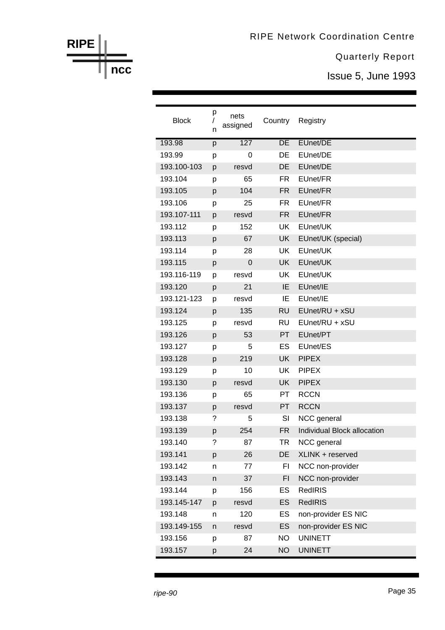Issue 5, June 1993

| <b>Block</b> | р<br>n | nets<br>assigned | Country   | Registry                    |
|--------------|--------|------------------|-----------|-----------------------------|
| 193.98       | p      | 127              | DE        | EUnet/DE                    |
| 193.99       | p      | 0                | DE        | EUnet/DE                    |
| 193.100-103  | p      | resvd            | DE        | EUnet/DE                    |
| 193.104      | р      | 65               | FR        | EUnet/FR                    |
| 193.105      | p      | 104              | <b>FR</b> | EUnet/FR                    |
| 193.106      | р      | 25               | FR.       | EUnet/FR                    |
| 193.107-111  | p      | resvd            | <b>FR</b> | EUnet/FR                    |
| 193.112      | р      | 152              | UK        | EUnet/UK                    |
| 193.113      | p      | 67               | <b>UK</b> | EUnet/UK (special)          |
| 193.114      | р      | 28               | <b>UK</b> | EUnet/UK                    |
| 193.115      | p      | 0                | <b>UK</b> | EUnet/UK                    |
| 193.116-119  | р      | resvd            | <b>UK</b> | EUnet/UK                    |
| 193.120      | p      | 21               | IE        | EUnet/IE                    |
| 193.121-123  | р      | resvd            | ΙE        | EUnet/IE                    |
| 193.124      | p      | 135              | <b>RU</b> | EUnet/RU + xSU              |
| 193.125      | p      | resvd            | <b>RU</b> | EUnet/RU + xSU              |
| 193.126      | p      | 53               | PT.       | EUnet/PT                    |
| 193.127      | р      | 5                | ES        | EUnet/ES                    |
| 193.128      | p      | 219              | <b>UK</b> | <b>PIPEX</b>                |
| 193.129      | р      | 10               | <b>UK</b> | <b>PIPEX</b>                |
| 193.130      | p      | resvd            | <b>UK</b> | <b>PIPEX</b>                |
| 193.136      | р      | 65               | PT        | <b>RCCN</b>                 |
| 193.137      | p      | resvd            | PT        | <b>RCCN</b>                 |
| 193.138      | ?      | 5                | SI        | NCC general                 |
| 193.139      | p      | 254              | FR        | Individual Block allocation |
| 193.140      | ?      | 87               | TR        | NCC general                 |
| 193.141      | p      | 26               | DE        | XLINK + reserved            |
| 193.142      | n      | 77               | FI        | NCC non-provider            |
| 193.143      | n      | 37               | FI        | NCC non-provider            |
| 193.144      | p      | 156              | ES        | RedIRIS                     |
| 193.145-147  | p      | resvd            | ES        | <b>RedIRIS</b>              |
| 193.148      | n      | 120              | ES        | non-provider ES NIC         |
| 193.149-155  | n      | resvd            | ES        | non-provider ES NIC         |
| 193.156      | p      | 87               | <b>NO</b> | <b>UNINETT</b>              |
| 193.157      | р      | 24               | <b>NO</b> | <b>UNINETT</b>              |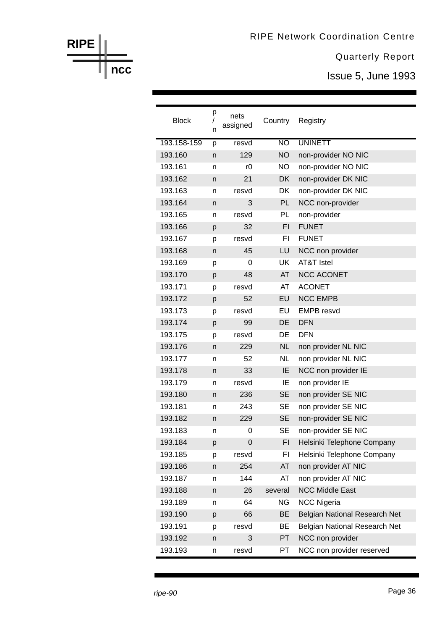Issue 5, June 1993

| <b>Block</b> | р<br>n | nets<br>assigned | Country         | Registry                             |
|--------------|--------|------------------|-----------------|--------------------------------------|
| 193.158-159  | p      | resvd            | $\overline{NO}$ | <b>UNINETT</b>                       |
| 193.160      | n      | 129              | <b>NO</b>       | non-provider NO NIC                  |
| 193.161      | n      | r0               | <b>NO</b>       | non-provider NO NIC                  |
| 193.162      | n      | 21               | <b>DK</b>       | non-provider DK NIC                  |
| 193.163      | n      | resvd            | DK              | non-provider DK NIC                  |
| 193.164      | n      | 3                | PL              | NCC non-provider                     |
| 193.165      | n      | resvd            | PL              | non-provider                         |
| 193.166      | p      | 32               | FI              | <b>FUNET</b>                         |
| 193.167      | р      | resvd            | FI              | <b>FUNET</b>                         |
| 193.168      | n      | 45               | LU              | NCC non provider                     |
| 193.169      | р      | 0                | UK              | AT&T Istel                           |
| 193.170      | p      | 48               | AT              | <b>NCC ACONET</b>                    |
| 193.171      | р      | resvd            | AT              | <b>ACONET</b>                        |
| 193.172      | p      | 52               | EU              | <b>NCC EMPB</b>                      |
| 193.173      | р      | resvd            | EU              | <b>EMPB</b> resvd                    |
| 193.174      | p      | 99               | DE              | <b>DFN</b>                           |
| 193.175      | р      | resvd            | DE              | <b>DFN</b>                           |
| 193.176      | n      | 229              | <b>NL</b>       | non provider NL NIC                  |
| 193.177      | n      | 52               | <b>NL</b>       | non provider NL NIC                  |
| 193.178      | n      | 33               | ΙE              | NCC non provider IE                  |
| 193.179      | n      | resvd            | ΙE              | non provider IE                      |
| 193.180      | n      | 236              | <b>SE</b>       | non provider SE NIC                  |
| 193.181      | n      | 243              | <b>SE</b>       | non provider SE NIC                  |
| 193.182      | n      | 229              | <b>SE</b>       | non-provider SE NIC                  |
| 193.183      | n      | 0                | <b>SE</b>       | non-provider SE NIC                  |
| 193.184      | р      | 0                | FI              | Helsinki Telephone Company           |
| 193.185      | p      | resvd            | FI              | Helsinki Telephone Company           |
| 193.186      | n      | 254              | AT              | non provider AT NIC                  |
| 193.187      | n      | 144              | AT              | non provider AT NIC                  |
| 193.188      | n      | 26               | several         | <b>NCC Middle East</b>               |
| 193.189      | n      | 64               | <b>NG</b>       | <b>NCC Nigeria</b>                   |
| 193.190      | р      | 66               | BE              | Belgian National Research Net        |
| 193.191      | p      | resvd            | ВE              | <b>Belgian National Research Net</b> |
| 193.192      | n      | 3                | PT              | NCC non provider                     |
| 193.193      | n      | resvd            | PT              | NCC non provider reserved            |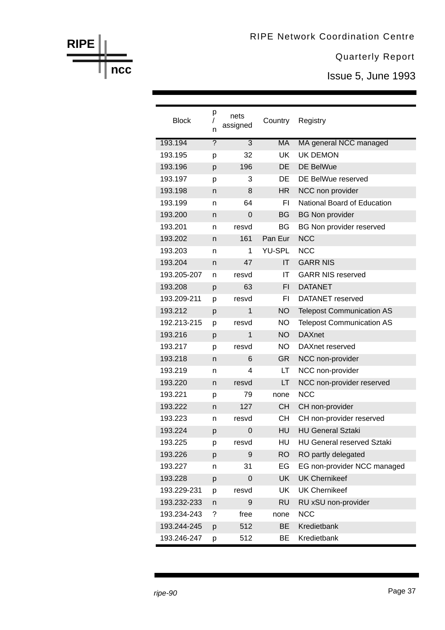Issue 5, June 1993

| <b>Block</b> | р<br>n         | nets<br>assigned | Country       | Registry                          |
|--------------|----------------|------------------|---------------|-----------------------------------|
| 193.194      | $\overline{?}$ | 3                | <b>MA</b>     | MA general NCC managed            |
| 193.195      | р              | 32               | <b>UK</b>     | <b>UK DEMON</b>                   |
| 193.196      | p              | 196              | <b>DE</b>     | <b>DE BelWue</b>                  |
| 193.197      | р              | 3                | DE            | DE BelWue reserved                |
| 193.198      | n              | 8                | HR.           | NCC non provider                  |
| 193.199      | n              | 64               | FI            | National Board of Education       |
| 193.200      | n              | 0                | <b>BG</b>     | <b>BG Non provider</b>            |
| 193.201      | n              | resvd            | BG            | <b>BG Non provider reserved</b>   |
| 193.202      | n              | 161              | Pan Eur       | <b>NCC</b>                        |
| 193.203      | n              | 1                | <b>YU-SPL</b> | <b>NCC</b>                        |
| 193.204      | n              | 47               | IT            | <b>GARR NIS</b>                   |
| 193.205-207  | n              | resvd            | ΙT            | <b>GARR NIS reserved</b>          |
| 193.208      | p              | 63               | <b>FI</b>     | <b>DATANFT</b>                    |
| 193.209-211  | р              | resvd            | FI            | DATANET reserved                  |
| 193.212      | p              | 1                | <b>NO</b>     | <b>Telepost Communication AS</b>  |
| 192.213-215  | р              | resvd            | <b>NO</b>     | <b>Telepost Communication AS</b>  |
| 193.216      | p              | 1                | <b>NO</b>     | <b>DAXnet</b>                     |
| 193.217      | р              | resvd            | NO.           | DAXnet reserved                   |
| 193.218      | n              | 6                | <b>GR</b>     | NCC non-provider                  |
| 193.219      | n              | 4                | LT.           | NCC non-provider                  |
| 193.220      | n              | resvd            | LT            | NCC non-provider reserved         |
| 193.221      | р              | 79               | none          | <b>NCC</b>                        |
| 193.222      | n              | 127              | <b>CH</b>     | CH non-provider                   |
| 193.223      | n              | resvd            | CН            | CH non-provider reserved          |
| 193.224      | p              | 0                | HU            | <b>HU General Sztaki</b>          |
| 193.225      | p              | resvd            | HU            | <b>HU General reserved Sztaki</b> |
| 193.226      | p              | 9                | <b>RO</b>     | RO partly delegated               |
| 193.227      | n              | 31               | EG            | EG non-provider NCC managed       |
| 193.228      | p              | 0                | <b>UK</b>     | <b>UK Chernikeef</b>              |
| 193.229-231  | р              | resvd            | UK            | <b>UK Chernikeef</b>              |
| 193.232-233  | n              | 9                | <b>RU</b>     | RU xSU non-provider               |
| 193.234-243  | ?              | free             | none          | <b>NCC</b>                        |
| 193.244-245  | p              | 512              | <b>BE</b>     | Kredietbank                       |
| 193.246-247  | p              | 512              | BE            | Kredietbank                       |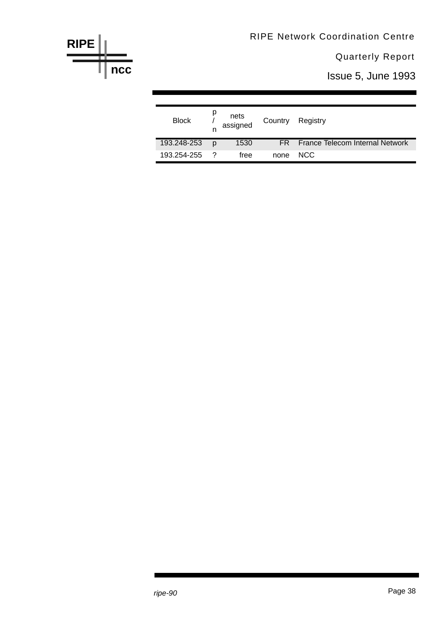

Quarterly Report

Issue 5, June 1993

| <b>Block</b> |   | nets<br>assigned | Country | Registry                           |
|--------------|---|------------------|---------|------------------------------------|
| 193.248-253  | D | 1530             |         | FR France Telecom Internal Network |
| 193.254-255  |   | free             | none    | NCC.                               |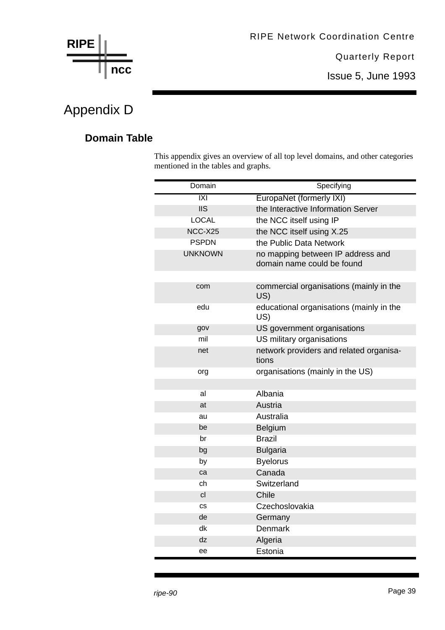

Issue 5, June 1993

### Appendix D

#### **Domain Table**

This appendix gives an overview of all top level domains, and other categories mentioned in the tables and graphs.

| Domain         | Specifying                                                      |
|----------------|-----------------------------------------------------------------|
| IXI            | EuropaNet (formerly IXI)                                        |
| <b>IIS</b>     | the Interactive Information Server                              |
| <b>LOCAL</b>   | the NCC itself using IP                                         |
| NCC-X25        | the NCC itself using X.25                                       |
| <b>PSPDN</b>   | the Public Data Network                                         |
| <b>UNKNOWN</b> | no mapping between IP address and<br>domain name could be found |
|                |                                                                 |
| com            | commercial organisations (mainly in the<br>US)                  |
| edu            | educational organisations (mainly in the<br>US)                 |
| gov            | US government organisations                                     |
| mil            | US military organisations                                       |
| net            | network providers and related organisa-<br>tions                |
| org            | organisations (mainly in the US)                                |
|                |                                                                 |
| al             | Albania                                                         |
| at             | Austria                                                         |
| au             | Australia                                                       |
| be             | <b>Belgium</b>                                                  |
| br             | <b>Brazil</b>                                                   |
| bg             | <b>Bulgaria</b>                                                 |
| by             | <b>Byelorus</b>                                                 |
| ca             | Canada                                                          |
| ch             | Switzerland                                                     |
| cl             | Chile                                                           |
| <b>CS</b>      | Czechoslovakia                                                  |
| de             | Germany                                                         |
| dk             | <b>Denmark</b>                                                  |
| dz             | Algeria                                                         |
| ee             | Estonia                                                         |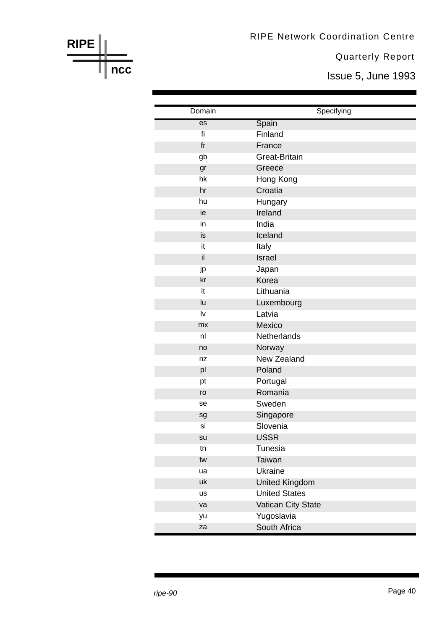Quarterly Report

Issue 5, June 1993

| Domain         | Specifying            |
|----------------|-----------------------|
| es             | Spain                 |
| fi             | Finland               |
| f <sub>r</sub> | France                |
| gb             | <b>Great-Britain</b>  |
| gr             | Greece                |
| hk             | Hong Kong             |
| hr             | Croatia               |
| hu             | Hungary               |
| ie             | Ireland               |
| in             | India                 |
| is             | Iceland               |
| it             | Italy                 |
| il             | Israel                |
| jp             | Japan                 |
| kr             | Korea                 |
| It             | Lithuania             |
| lu             | Luxembourg            |
| Iv             | Latvia                |
| mx             | Mexico                |
| n <sub>l</sub> | Netherlands           |
| no             | Norway                |
| nz             | New Zealand           |
| pl             | Poland                |
| pt             | Portugal              |
| ro             | Romania               |
| se             | Sweden                |
| sg             | Singapore             |
| si             | Slovenia              |
| su             | <b>USSR</b>           |
| tn             | Tunesia               |
| tw             | Taiwan                |
| ua             | <b>Ukraine</b>        |
| uk             | <b>United Kingdom</b> |
| us             | <b>United States</b>  |
| va             | Vatican City State    |
| yu             | Yugoslavia            |
| za             | South Africa          |

**RIPE**

**ncc**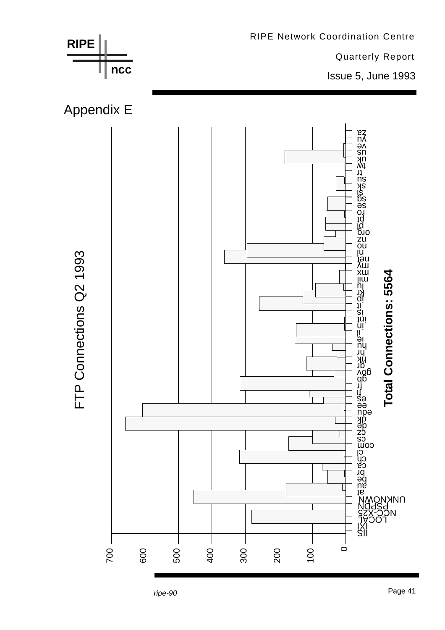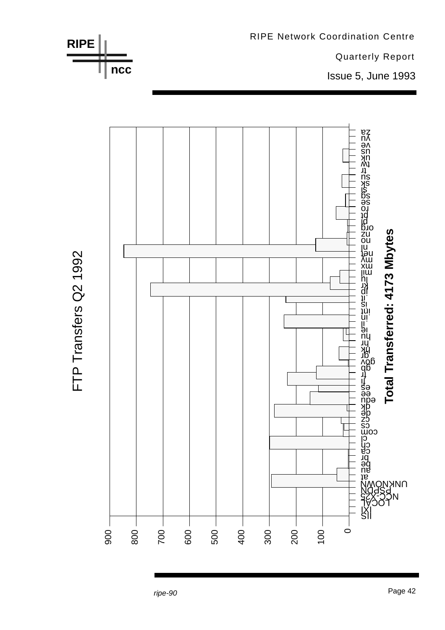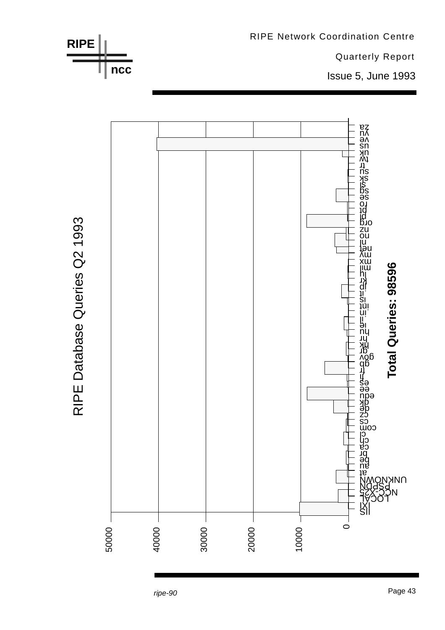

Page 43 *ripe-90*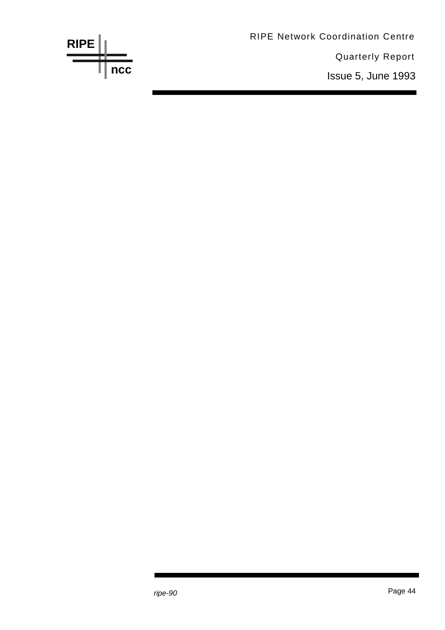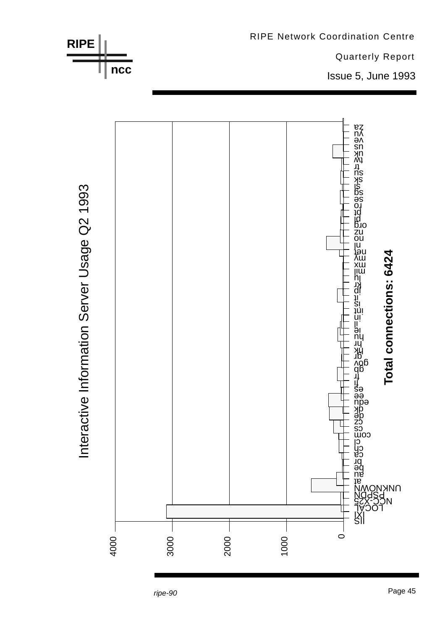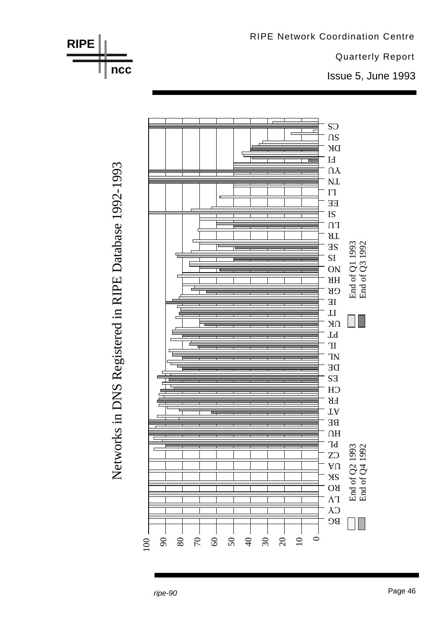

Quarterly Report

Issue 5, June 1993



Networks in DNS Registered in RIPE Database 1992-1993 Networks in DNS Registered in RIPE Database 1992-1993